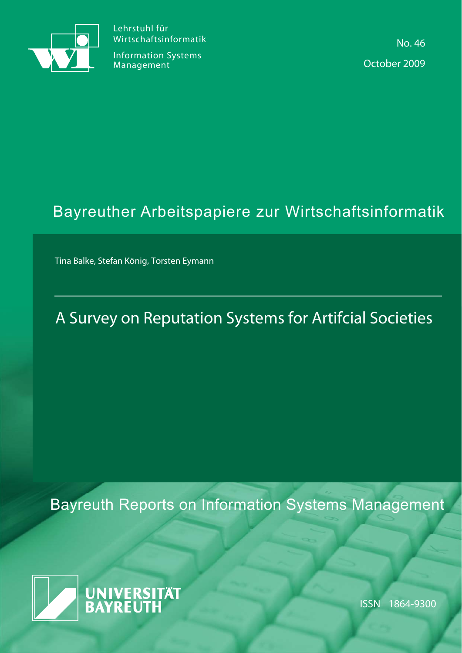

Lehrstuhl für Wirtschaftsinformatik

Information Systems Management

No. 46 October 2009

# Bayreuther Arbeitspapiere zur Wirtschaftsinformatik

Tina Balke, Stefan König, Torsten Eymann

# A Survey on Reputation Systems for Artifcial Societies

Bayreuth Reports on Information Systems Management



ISSN 1864-9300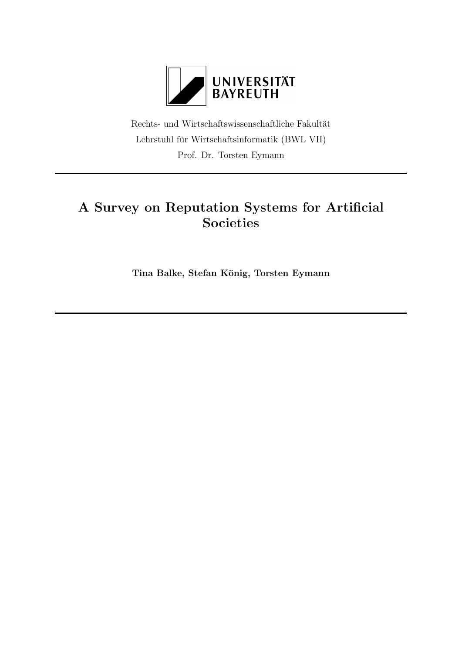

Rechts- und Wirtschaftswissenschaftliche Fakultät Lehrstuhl für Wirtschaftsinformatik (BWL VII)  $\,$ Prof. Dr. Torsten Eymann

# A Survey on Reputation Systems for Artificial Societies

Tina Balke, Stefan König, Torsten Eymann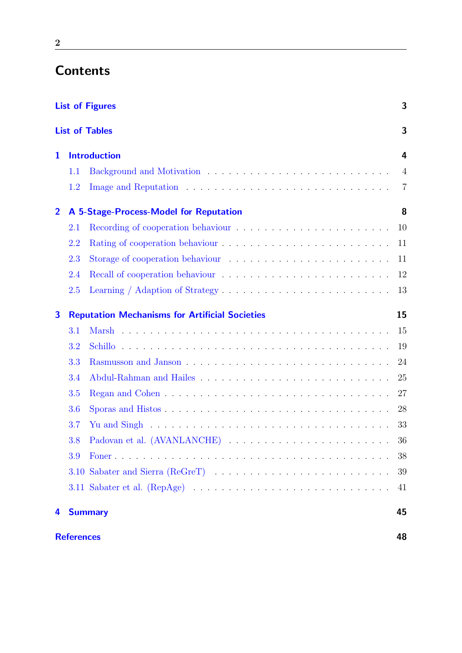# **Contents**

|                |                   | <b>List of Figures</b>                                                                             | 3              |
|----------------|-------------------|----------------------------------------------------------------------------------------------------|----------------|
|                |                   | <b>List of Tables</b>                                                                              | 3              |
| 1              |                   | <b>Introduction</b>                                                                                | 4              |
|                | 1.1               |                                                                                                    | $\overline{4}$ |
|                | 1.2               |                                                                                                    | 7              |
| $\overline{2}$ |                   | A 5-Stage-Process-Model for Reputation                                                             | 8              |
|                | 2.1               |                                                                                                    | 10             |
|                | 2.2               |                                                                                                    | 11             |
|                | 2.3               |                                                                                                    | 11             |
|                | 2.4               |                                                                                                    | 12             |
|                | 2.5               |                                                                                                    | 13             |
| 3              |                   | <b>Reputation Mechanisms for Artificial Societies</b>                                              | 15             |
|                | 3.1               |                                                                                                    | 15             |
|                | 3.2               |                                                                                                    | 19             |
|                | 3.3               |                                                                                                    | 24             |
|                | 3.4               |                                                                                                    | 25             |
|                | 3.5               |                                                                                                    | 27             |
|                | 3.6               |                                                                                                    | 28             |
|                | 3.7               | Yu and Singh $\dots \dots \dots \dots \dots \dots \dots \dots \dots \dots \dots \dots \dots \dots$ | 33             |
|                | 3.8               |                                                                                                    | 36             |
|                | 3.9               |                                                                                                    | 38             |
|                |                   |                                                                                                    | 39             |
|                |                   |                                                                                                    | 41             |
| 4              |                   | <b>Summary</b>                                                                                     | 45             |
|                | <b>References</b> |                                                                                                    | 48             |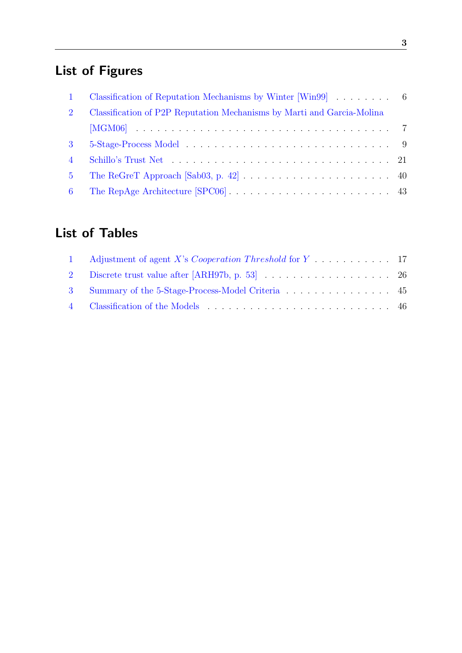# List of Figures

<span id="page-3-0"></span>

| $\mathbf{1}$   |                                                                        |  |
|----------------|------------------------------------------------------------------------|--|
| 2              | Classification of P2P Reputation Mechanisms by Marti and Garcia-Molina |  |
|                |                                                                        |  |
| $\mathbf{3}$   |                                                                        |  |
| $\overline{4}$ |                                                                        |  |
| 5 <sup>5</sup> |                                                                        |  |
| $6^{\circ}$    |                                                                        |  |

# List of Tables

<span id="page-3-1"></span>

| 1 Adjustment of agent X's Cooperation Threshold for Y 17 |  |
|----------------------------------------------------------|--|
| 2 Discrete trust value after [ARH97b, p. 53] 26          |  |
| 3 Summary of the 5-Stage-Process-Model Criteria 45       |  |
|                                                          |  |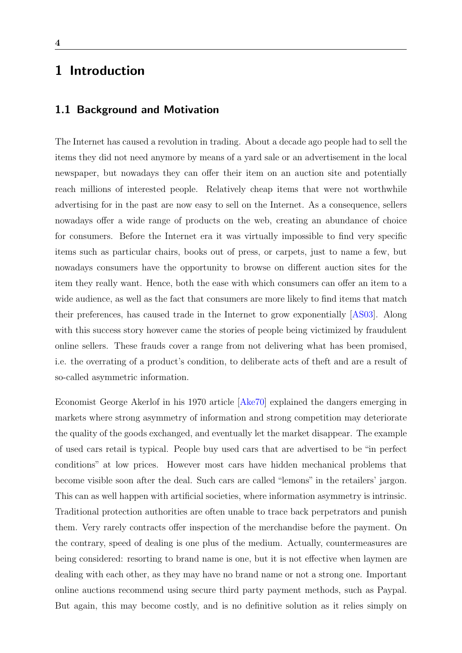# <span id="page-4-0"></span>1 Introduction

## <span id="page-4-1"></span>1.1 Background and Motivation

The Internet has caused a revolution in trading. About a decade ago people had to sell the items they did not need anymore by means of a yard sale or an advertisement in the local newspaper, but nowadays they can offer their item on an auction site and potentially reach millions of interested people. Relatively cheap items that were not worthwhile advertising for in the past are now easy to sell on the Internet. As a consequence, sellers nowadays offer a wide range of products on the web, creating an abundance of choice for consumers. Before the Internet era it was virtually impossible to find very specific items such as particular chairs, books out of press, or carpets, just to name a few, but nowadays consumers have the opportunity to browse on different auction sites for the item they really want. Hence, both the ease with which consumers can offer an item to a wide audience, as well as the fact that consumers are more likely to find items that match their preferences, has caused trade in the Internet to grow exponentially [\[AS03\]](#page-48-2). Along with this success story however came the stories of people being victimized by fraudulent online sellers. These frauds cover a range from not delivering what has been promised, i.e. the overrating of a product's condition, to deliberate acts of theft and are a result of so-called asymmetric information.

Economist George Akerlof in his 1970 article [\[Ake70\]](#page-48-3) explained the dangers emerging in markets where strong asymmetry of information and strong competition may deteriorate the quality of the goods exchanged, and eventually let the market disappear. The example of used cars retail is typical. People buy used cars that are advertised to be "in perfect conditions" at low prices. However most cars have hidden mechanical problems that become visible soon after the deal. Such cars are called "lemons" in the retailers' jargon. This can as well happen with artificial societies, where information asymmetry is intrinsic. Traditional protection authorities are often unable to trace back perpetrators and punish them. Very rarely contracts offer inspection of the merchandise before the payment. On the contrary, speed of dealing is one plus of the medium. Actually, countermeasures are being considered: resorting to brand name is one, but it is not effective when laymen are dealing with each other, as they may have no brand name or not a strong one. Important online auctions recommend using secure third party payment methods, such as Paypal. But again, this may become costly, and is no definitive solution as it relies simply on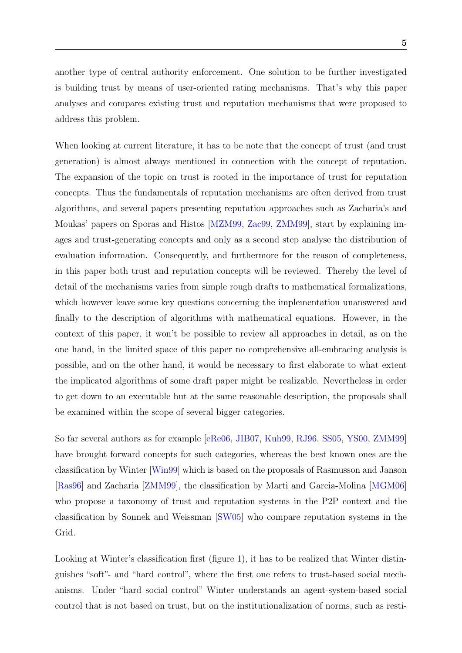another type of central authority enforcement. One solution to be further investigated is building trust by means of user-oriented rating mechanisms. That's why this paper analyses and compares existing trust and reputation mechanisms that were proposed to address this problem.

When looking at current literature, it has to be note that the concept of trust (and trust generation) is almost always mentioned in connection with the concept of reputation. The expansion of the topic on trust is rooted in the importance of trust for reputation concepts. Thus the fundamentals of reputation mechanisms are often derived from trust algorithms, and several papers presenting reputation approaches such as Zacharia's and Moukas' papers on Sporas and Histos [\[MZM99,](#page-50-1) [Zac99,](#page-52-1) [ZMM99\]](#page-52-2), start by explaining images and trust-generating concepts and only as a second step analyse the distribution of evaluation information. Consequently, and furthermore for the reason of completeness, in this paper both trust and reputation concepts will be reviewed. Thereby the level of detail of the mechanisms varies from simple rough drafts to mathematical formalizations, which however leave some key questions concerning the implementation unanswered and finally to the description of algorithms with mathematical equations. However, in the context of this paper, it won't be possible to review all approaches in detail, as on the one hand, in the limited space of this paper no comprehensive all-embracing analysis is possible, and on the other hand, it would be necessary to first elaborate to what extent the implicated algorithms of some draft paper might be realizable. Nevertheless in order to get down to an executable but at the same reasonable description, the proposals shall be examined within the scope of several bigger categories.

So far several authors as for example [\[eRe06,](#page-48-4) [JIB07,](#page-49-0) [Kuh99,](#page-49-1) [RJ96,](#page-50-2) [SS05,](#page-51-2) [YS00,](#page-52-3) [ZMM99\]](#page-52-2) have brought forward concepts for such categories, whereas the best known ones are the classification by Winter [\[Win99\]](#page-52-0) which is based on the proposals of Rasmusson and Janson [\[Ras96\]](#page-50-3) and Zacharia [\[ZMM99\]](#page-52-2), the classification by Marti and Garcia-Molina [\[MGM06\]](#page-50-0) who propose a taxonomy of trust and reputation systems in the P2P context and the classification by Sonnek and Weissman [\[SW05\]](#page-51-3) who compare reputation systems in the Grid.

Looking at Winter's classification first (figure [1\)](#page-6-0), it has to be realized that Winter distinguishes "soft"- and "hard control", where the first one refers to trust-based social mechanisms. Under "hard social control" Winter understands an agent-system-based social control that is not based on trust, but on the institutionalization of norms, such as resti-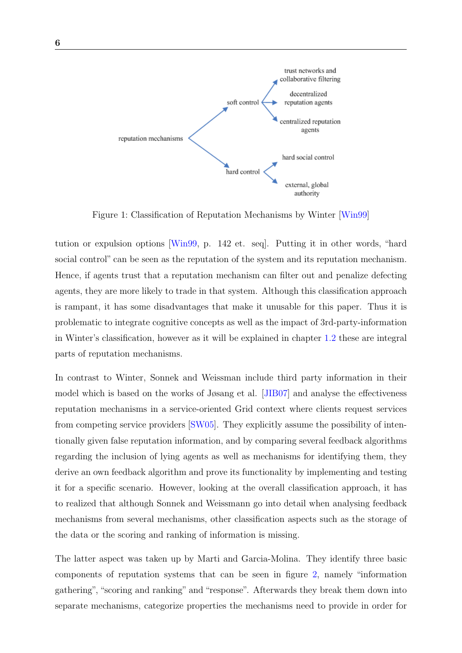

<span id="page-6-0"></span>Figure 1: Classification of Reputation Mechanisms by Winter [\[Win99\]](#page-52-0)

tution or expulsion options [\[Win99,](#page-52-0) p. 142 et. seq]. Putting it in other words, "hard social control" can be seen as the reputation of the system and its reputation mechanism. Hence, if agents trust that a reputation mechanism can filter out and penalize defecting agents, they are more likely to trade in that system. Although this classification approach is rampant, it has some disadvantages that make it unusable for this paper. Thus it is problematic to integrate cognitive concepts as well as the impact of 3rd-party-information in Winter's classification, however as it will be explained in chapter [1.2](#page-7-0) these are integral parts of reputation mechanisms.

In contrast to Winter, Sonnek and Weissman include third party information in their model which is based on the works of Jøsang et al. [\[JIB07\]](#page-49-0) and analyse the effectiveness reputation mechanisms in a service-oriented Grid context where clients request services from competing service providers [\[SW05\]](#page-51-3). They explicitly assume the possibility of intentionally given false reputation information, and by comparing several feedback algorithms regarding the inclusion of lying agents as well as mechanisms for identifying them, they derive an own feedback algorithm and prove its functionality by implementing and testing it for a specific scenario. However, looking at the overall classification approach, it has to realized that although Sonnek and Weissmann go into detail when analysing feedback mechanisms from several mechanisms, other classification aspects such as the storage of the data or the scoring and ranking of information is missing.

The latter aspect was taken up by Marti and Garcia-Molina. They identify three basic components of reputation systems that can be seen in figure [2,](#page-7-1) namely "information gathering", "scoring and ranking" and "response". Afterwards they break them down into separate mechanisms, categorize properties the mechanisms need to provide in order for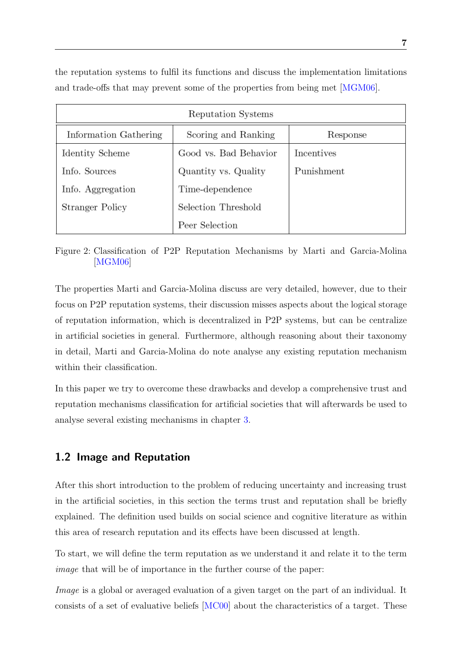the reputation systems to fulfil its functions and discuss the implementation limitations and trade-offs that may prevent some of the properties from being met [\[MGM06\]](#page-50-0).

| Reputation Systems    |                       |            |  |
|-----------------------|-----------------------|------------|--|
| Information Gathering | Scoring and Ranking   | Response   |  |
| Identity Scheme       | Good vs. Bad Behavior | Incentives |  |
| Info. Sources         | Quantity vs. Quality  | Punishment |  |
| Info. Aggregation     | Time-dependence       |            |  |
| Stranger Policy       | Selection Threshold   |            |  |
|                       | Peer Selection        |            |  |

<span id="page-7-1"></span>Figure 2: Classification of P2P Reputation Mechanisms by Marti and Garcia-Molina [\[MGM06\]](#page-50-0)

The properties Marti and Garcia-Molina discuss are very detailed, however, due to their focus on P2P reputation systems, their discussion misses aspects about the logical storage of reputation information, which is decentralized in P2P systems, but can be centralize in artificial societies in general. Furthermore, although reasoning about their taxonomy in detail, Marti and Garcia-Molina do note analyse any existing reputation mechanism within their classification.

In this paper we try to overcome these drawbacks and develop a comprehensive trust and reputation mechanisms classification for artificial societies that will afterwards be used to analyse several existing mechanisms in chapter [3.](#page-15-0)

## <span id="page-7-0"></span>1.2 Image and Reputation

After this short introduction to the problem of reducing uncertainty and increasing trust in the artificial societies, in this section the terms trust and reputation shall be briefly explained. The definition used builds on social science and cognitive literature as within this area of research reputation and its effects have been discussed at length.

To start, we will define the term reputation as we understand it and relate it to the term image that will be of importance in the further course of the paper:

Image is a global or averaged evaluation of a given target on the part of an individual. It consists of a set of evaluative beliefs [\[MC00\]](#page-50-4) about the characteristics of a target. These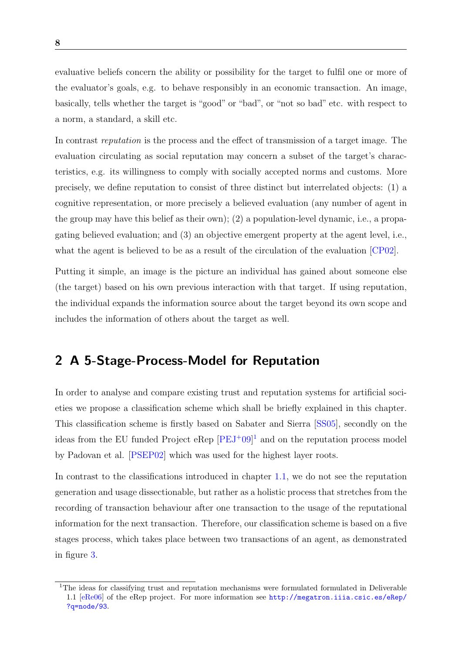evaluative beliefs concern the ability or possibility for the target to fulfil one or more of the evaluator's goals, e.g. to behave responsibly in an economic transaction. An image, basically, tells whether the target is "good" or "bad", or "not so bad" etc. with respect to a norm, a standard, a skill etc.

In contrast reputation is the process and the effect of transmission of a target image. The evaluation circulating as social reputation may concern a subset of the target's characteristics, e.g. its willingness to comply with socially accepted norms and customs. More precisely, we define reputation to consist of three distinct but interrelated objects: (1) a cognitive representation, or more precisely a believed evaluation (any number of agent in the group may have this belief as their own); (2) a population-level dynamic, i.e., a propagating believed evaluation; and (3) an objective emergent property at the agent level, i.e., what the agent is believed to be as a result of the circulation of the evaluation [\[CP02\]](#page-48-5).

Putting it simple, an image is the picture an individual has gained about someone else (the target) based on his own previous interaction with that target. If using reputation, the individual expands the information source about the target beyond its own scope and includes the information of others about the target as well.

# <span id="page-8-0"></span>2 A 5-Stage-Process-Model for Reputation

In order to analyse and compare existing trust and reputation systems for artificial societies we propose a classification scheme which shall be briefly explained in this chapter. This classification scheme is firstly based on Sabater and Sierra [\[SS05\]](#page-51-2), secondly on the ideas from the EU funded Project eRep  $[PEJ^+09]^1$  $[PEJ^+09]^1$  $[PEJ^+09]^1$  and on the reputation process model by Padovan et al. [\[PSEP02\]](#page-50-6) which was used for the highest layer roots.

In contrast to the classifications introduced in chapter [1.1,](#page-4-1) we do not see the reputation generation and usage dissectionable, but rather as a holistic process that stretches from the recording of transaction behaviour after one transaction to the usage of the reputational information for the next transaction. Therefore, our classification scheme is based on a five stages process, which takes place between two transactions of an agent, as demonstrated in figure [3.](#page-9-0)

<span id="page-8-1"></span><sup>&</sup>lt;sup>1</sup>The ideas for classifying trust and reputation mechanisms were formulated formulated in Deliverable 1.1 [\[eRe06\]](#page-48-4) of the eRep project. For more information see [http://megatron.iiia.csic.es/eRep/](http://megatron.iiia.csic.es/eRep/?q=node/93) [?q=node/93](http://megatron.iiia.csic.es/eRep/?q=node/93).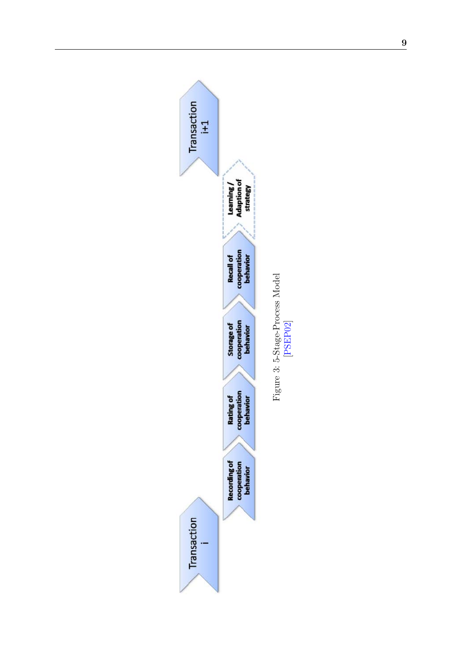<span id="page-9-0"></span>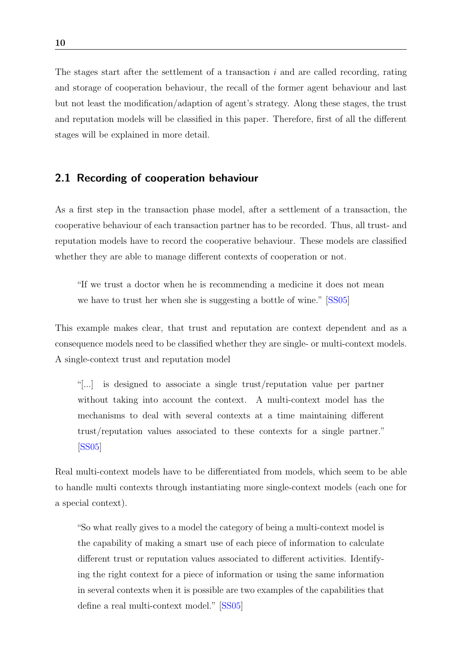The stages start after the settlement of a transaction  $i$  and are called recording, rating and storage of cooperation behaviour, the recall of the former agent behaviour and last but not least the modification/adaption of agent's strategy. Along these stages, the trust and reputation models will be classified in this paper. Therefore, first of all the different stages will be explained in more detail.

### <span id="page-10-0"></span>2.1 Recording of cooperation behaviour

As a first step in the transaction phase model, after a settlement of a transaction, the cooperative behaviour of each transaction partner has to be recorded. Thus, all trust- and reputation models have to record the cooperative behaviour. These models are classified whether they are able to manage different contexts of cooperation or not.

"If we trust a doctor when he is recommending a medicine it does not mean we have to trust her when she is suggesting a bottle of wine." [\[SS05\]](#page-51-2)

This example makes clear, that trust and reputation are context dependent and as a consequence models need to be classified whether they are single- or multi-context models. A single-context trust and reputation model

"[...] is designed to associate a single trust/reputation value per partner without taking into account the context. A multi-context model has the mechanisms to deal with several contexts at a time maintaining different trust/reputation values associated to these contexts for a single partner." [\[SS05\]](#page-51-2)

Real multi-context models have to be differentiated from models, which seem to be able to handle multi contexts through instantiating more single-context models (each one for a special context).

"So what really gives to a model the category of being a multi-context model is the capability of making a smart use of each piece of information to calculate different trust or reputation values associated to different activities. Identifying the right context for a piece of information or using the same information in several contexts when it is possible are two examples of the capabilities that define a real multi-context model." [\[SS05\]](#page-51-2)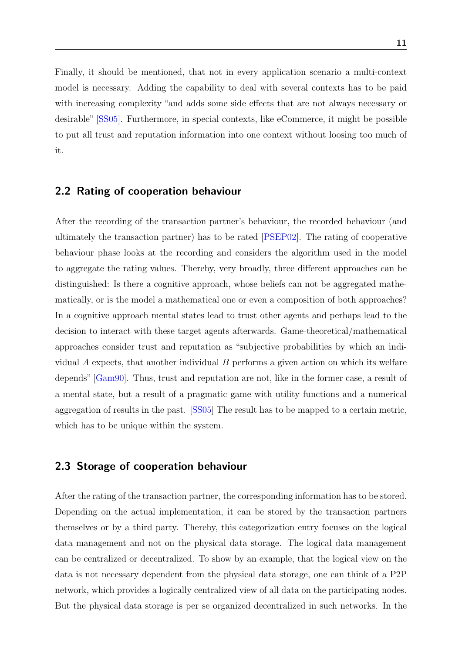Finally, it should be mentioned, that not in every application scenario a multi-context model is necessary. Adding the capability to deal with several contexts has to be paid with increasing complexity "and adds some side effects that are not always necessary or desirable" [\[SS05\]](#page-51-2). Furthermore, in special contexts, like eCommerce, it might be possible to put all trust and reputation information into one context without loosing too much of it.

### <span id="page-11-0"></span>2.2 Rating of cooperation behaviour

After the recording of the transaction partner's behaviour, the recorded behaviour (and ultimately the transaction partner) has to be rated [\[PSEP02\]](#page-50-6). The rating of cooperative behaviour phase looks at the recording and considers the algorithm used in the model to aggregate the rating values. Thereby, very broadly, three different approaches can be distinguished: Is there a cognitive approach, whose beliefs can not be aggregated mathematically, or is the model a mathematical one or even a composition of both approaches? In a cognitive approach mental states lead to trust other agents and perhaps lead to the decision to interact with these target agents afterwards. Game-theoretical/mathematical approaches consider trust and reputation as "subjective probabilities by which an individual  $\vec{A}$  expects, that another individual  $\vec{B}$  performs a given action on which its welfare depends" [\[Gam90\]](#page-49-2). Thus, trust and reputation are not, like in the former case, a result of a mental state, but a result of a pragmatic game with utility functions and a numerical aggregation of results in the past. [\[SS05\]](#page-51-2) The result has to be mapped to a certain metric, which has to be unique within the system.

## <span id="page-11-1"></span>2.3 Storage of cooperation behaviour

After the rating of the transaction partner, the corresponding information has to be stored. Depending on the actual implementation, it can be stored by the transaction partners themselves or by a third party. Thereby, this categorization entry focuses on the logical data management and not on the physical data storage. The logical data management can be centralized or decentralized. To show by an example, that the logical view on the data is not necessary dependent from the physical data storage, one can think of a P2P network, which provides a logically centralized view of all data on the participating nodes. But the physical data storage is per se organized decentralized in such networks. In the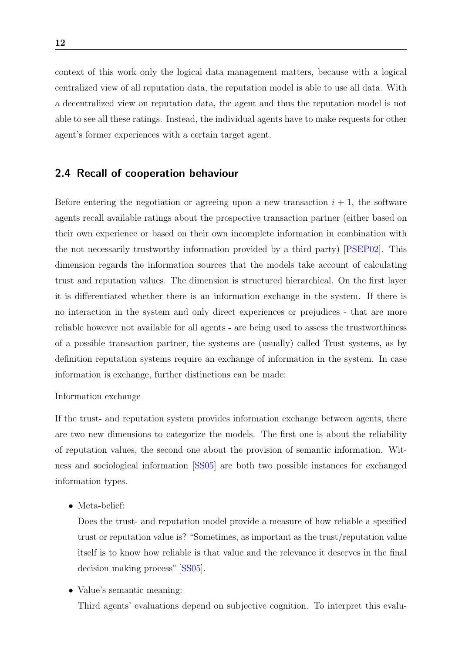context of this work only the logical data management matters, because with a logical centralized view of all reputation data, the reputation model is able to use all data. With a decentralized view on reputation data, the agent and thus the reputation model is not able to see all these ratings. Instead, the individual agents have to make requests for other agent's former experiences with a certain target agent.

## <span id="page-12-0"></span>2.4 Recall of cooperation behaviour

Before entering the negotiation or agreeing upon a new transaction  $i + 1$ , the software agents recall available ratings about the prospective transaction partner (either based on their own experience or based on their own incomplete information in combination with the not necessarily trustworthy information provided by a third party) [\[PSEP02\]](#page-50-6). This dimension regards the information sources that the models take account of calculating trust and reputation values. The dimension is structured hierarchical. On the first layer it is differentiated whether there is an information exchange in the system. If there is no interaction in the system and only direct experiences or prejudices - that are more reliable however not available for all agents - are being used to assess the trustworthiness of a possible transaction partner, the systems are (usually) called Trust systems, as by definition reputation systems require an exchange of information in the system. In case information is exchange, further distinctions can be made:

#### Information exchange

If the trust- and reputation system provides information exchange between agents, there are two new dimensions to categorize the models. The first one is about the reliability of reputation values, the second one about the provision of semantic information. Witness and sociological information [\[SS05\]](#page-51-2) are both two possible instances for exchanged information types.

• Meta-belief:

Does the trust- and reputation model provide a measure of how reliable a specified trust or reputation value is? "Sometimes, as important as the trust/reputation value itself is to know how reliable is that value and the relevance it deserves in the final decision making process" [\[SS05\]](#page-51-2).

• Value's semantic meaning:

Third agents' evaluations depend on subjective cognition. To interpret this evalu-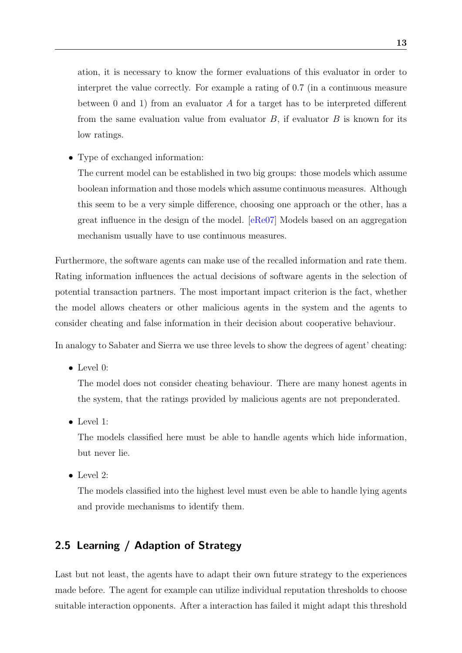ation, it is necessary to know the former evaluations of this evaluator in order to interpret the value correctly. For example a rating of 0.7 (in a continuous measure between 0 and 1) from an evaluator A for a target has to be interpreted different from the same evaluation value from evaluator  $B$ , if evaluator  $B$  is known for its low ratings.

• Type of exchanged information:

The current model can be established in two big groups: those models which assume boolean information and those models which assume continuous measures. Although this seem to be a very simple difference, choosing one approach or the other, has a great influence in the design of the model. [\[eRe07\]](#page-48-6) Models based on an aggregation mechanism usually have to use continuous measures.

Furthermore, the software agents can make use of the recalled information and rate them. Rating information influences the actual decisions of software agents in the selection of potential transaction partners. The most important impact criterion is the fact, whether the model allows cheaters or other malicious agents in the system and the agents to consider cheating and false information in their decision about cooperative behaviour.

In analogy to Sabater and Sierra we use three levels to show the degrees of agent' cheating:

• Level 0:

The model does not consider cheating behaviour. There are many honest agents in the system, that the ratings provided by malicious agents are not preponderated.

• Level 1:

The models classified here must be able to handle agents which hide information, but never lie.

• Level 2:

The models classified into the highest level must even be able to handle lying agents and provide mechanisms to identify them.

## <span id="page-13-0"></span>2.5 Learning / Adaption of Strategy

Last but not least, the agents have to adapt their own future strategy to the experiences made before. The agent for example can utilize individual reputation thresholds to choose suitable interaction opponents. After a interaction has failed it might adapt this threshold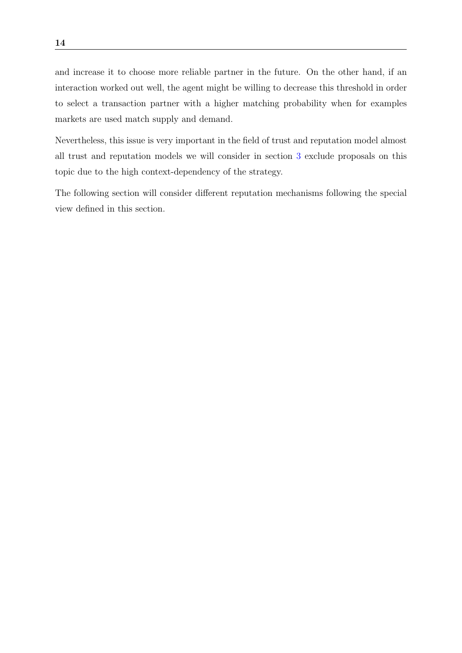and increase it to choose more reliable partner in the future. On the other hand, if an interaction worked out well, the agent might be willing to decrease this threshold in order to select a transaction partner with a higher matching probability when for examples markets are used match supply and demand.

Nevertheless, this issue is very important in the field of trust and reputation model almost all trust and reputation models we will consider in section [3](#page-15-0) exclude proposals on this topic due to the high context-dependency of the strategy.

The following section will consider different reputation mechanisms following the special view defined in this section.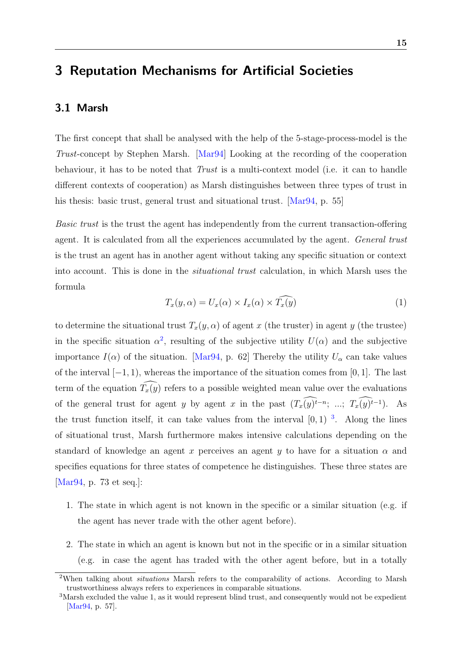# <span id="page-15-0"></span>3 Reputation Mechanisms for Artificial Societies

## <span id="page-15-1"></span>3.1 Marsh

The first concept that shall be analysed with the help of the 5-stage-process-model is the Trust-concept by Stephen Marsh. [\[Mar94\]](#page-49-3) Looking at the recording of the cooperation behaviour, it has to be noted that  $Trust$  is a multi-context model (i.e. it can to handle different contexts of cooperation) as Marsh distinguishes between three types of trust in his thesis: basic trust, general trust and situational trust. [\[Mar94,](#page-49-3) p. 55]

Basic trust is the trust the agent has independently from the current transaction-offering agent. It is calculated from all the experiences accumulated by the agent. *General trust* is the trust an agent has in another agent without taking any specific situation or context into account. This is done in the *situational trust* calculation, in which Marsh uses the formula

$$
T_x(y,\alpha) = U_x(\alpha) \times I_x(\alpha) \times \widehat{T_x(y)}
$$
\n(1)

<span id="page-15-4"></span>to determine the situational trust  $T_x(y, \alpha)$  of agent x (the truster) in agent y (the trustee) in the specific situation  $\alpha^2$  $\alpha^2$ , resulting of the subjective utility  $U(\alpha)$  and the subjective importance  $I(\alpha)$  of the situation. [\[Mar94,](#page-49-3) p. 62] Thereby the utility  $U_{\alpha}$  can take values of the interval  $[-1, 1)$ , whereas the importance of the situation comes from [0, 1]. The last term of the equation  $\widehat{T_x(y)}$  refers to a possible weighted mean value over the evaluations of the general trust for agent y by agent x in the past  $(T_x(y)^{t-n}; \ldots; T_x(y)^{t-1})$ . As the trust function itself, it can take values from the interval  $[0, 1)$ <sup>[3](#page-15-3)</sup>. Along the lines of situational trust, Marsh furthermore makes intensive calculations depending on the standard of knowledge an agent x perceives an agent y to have for a situation  $\alpha$  and specifies equations for three states of competence he distinguishes. These three states are [\[Mar94,](#page-49-3) p. 73 et seq.]:

- 1. The state in which agent is not known in the specific or a similar situation (e.g. if the agent has never trade with the other agent before).
- 2. The state in which an agent is known but not in the specific or in a similar situation (e.g. in case the agent has traded with the other agent before, but in a totally

<span id="page-15-2"></span><sup>&</sup>lt;sup>2</sup>When talking about *situations* Marsh refers to the comparability of actions. According to Marsh trustworthiness always refers to experiences in comparable situations.

<span id="page-15-3"></span><sup>3</sup>Marsh excluded the value 1, as it would represent blind trust, and consequently would not be expedient [\[Mar94,](#page-49-3) p. 57].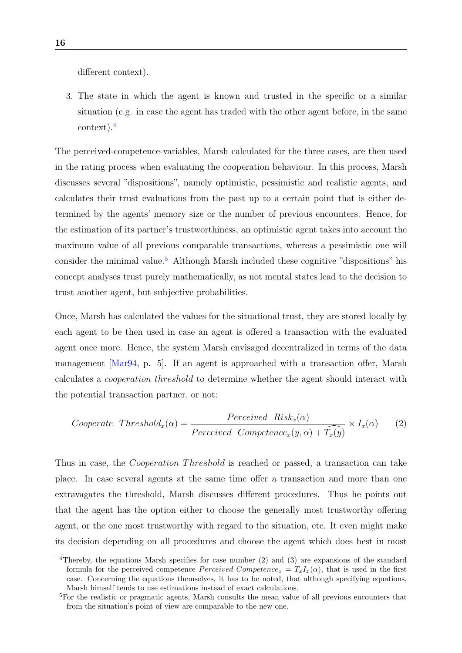different context).

3. The state in which the agent is known and trusted in the specific or a similar situation (e.g. in case the agent has traded with the other agent before, in the same context).[4](#page-16-0)

The perceived-competence-variables, Marsh calculated for the three cases, are then used in the rating process when evaluating the cooperation behaviour. In this process, Marsh discusses several "dispositions", namely optimistic, pessimistic and realistic agents, and calculates their trust evaluations from the past up to a certain point that is either determined by the agents' memory size or the number of previous encounters. Hence, for the estimation of its partner's trustworthiness, an optimistic agent takes into account the maximum value of all previous comparable transactions, whereas a pessimistic one will consider the minimal value.<sup>[5](#page-16-1)</sup> Although Marsh included these cognitive "dispositions" his concept analyses trust purely mathematically, as not mental states lead to the decision to trust another agent, but subjective probabilities.

Once, Marsh has calculated the values for the situational trust, they are stored locally by each agent to be then used in case an agent is offered a transaction with the evaluated agent once more. Hence, the system Marsh envisaged decentralized in terms of the data management [\[Mar94,](#page-49-3) p. 5]. If an agent is approached with a transaction offer, Marsh calculates a cooperation threshold to determine whether the agent should interact with the potential transaction partner, or not:

Cooperate Threshold<sub>x</sub>(
$$
\alpha
$$
) = 
$$
\frac{Perceived\ Risk_x(\alpha)}{Perceived\ Complete_{x}(y,\alpha) + \widehat{T_x(y)}} \times I_x(\alpha)
$$
 (2)

Thus in case, the *Cooperation Threshold* is reached or passed, a transaction can take place. In case several agents at the same time offer a transaction and more than one extravagates the threshold, Marsh discusses different procedures. Thus he points out that the agent has the option either to choose the generally most trustworthy offering agent, or the one most trustworthy with regard to the situation, etc. It even might make its decision depending on all procedures and choose the agent which does best in most

<span id="page-16-0"></span><sup>4</sup>Thereby, the equations Marsh specifies for case number (2) and (3) are expansions of the standard formula for the perceived competence *Perceived Competence*  $x = T_x I_x(\alpha)$ , that is used in the first case. Concerning the equations themselves, it has to be noted, that although specifying equations, Marsh himself tends to use estimations instead of exact calculations.

<span id="page-16-1"></span><sup>5</sup>For the realistic or pragmatic agents, Marsh consults the mean value of all previous encounters that from the situation's point of view are comparable to the new one.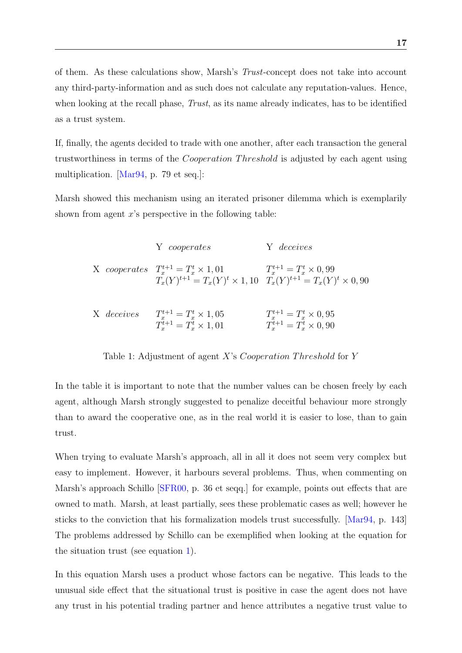of them. As these calculations show, Marsh's Trust-concept does not take into account any third-party-information and as such does not calculate any reputation-values. Hence, when looking at the recall phase, *Trust*, as its name already indicates, has to be identified as a trust system.

If, finally, the agents decided to trade with one another, after each transaction the general trustworthiness in terms of the *Cooperation Threshold* is adjusted by each agent using multiplication. [\[Mar94,](#page-49-3) p. 79 et seq.]:

Marsh showed this mechanism using an iterated prisoner dilemma which is exemplarily shown from agent  $x$ 's perspective in the following table:

|            | Y cooperates                                                                                                                      | Y deceives                                                         |
|------------|-----------------------------------------------------------------------------------------------------------------------------------|--------------------------------------------------------------------|
|            | X cooperates $T_r^{t+1} = T_r^t \times 1,01$<br>$T_x(Y)^{t+1} = T_x(Y)^t \times 1, 10 \quad T_x(Y)^{t+1} = T_x(Y)^t \times 0, 90$ | $T_r^{t+1} = T_r^t \times 0.99$                                    |
| X deceives | $T_x^{t+1} = T_x^t \times 1,05$<br>$T_r^{t+1} = T_r^t \times 1,01$                                                                | $T_x^{t+1} = T_x^t \times 0.95$<br>$T_r^{t+1} = T_r^t \times 0,90$ |

<span id="page-17-0"></span>Table 1: Adjustment of agent  $X$ 's *Cooperation Threshold* for  $Y$ 

In the table it is important to note that the number values can be chosen freely by each agent, although Marsh strongly suggested to penalize deceitful behaviour more strongly than to award the cooperative one, as in the real world it is easier to lose, than to gain trust.

When trying to evaluate Marsh's approach, all in all it does not seem very complex but easy to implement. However, it harbours several problems. Thus, when commenting on Marsh's approach Schillo [\[SFR00,](#page-51-4) p. 36 et seqq.] for example, points out effects that are owned to math. Marsh, at least partially, sees these problematic cases as well; however he sticks to the conviction that his formalization models trust successfully. [\[Mar94,](#page-49-3) p. 143] The problems addressed by Schillo can be exemplified when looking at the equation for the situation trust (see equation [1\)](#page-15-4).

In this equation Marsh uses a product whose factors can be negative. This leads to the unusual side effect that the situational trust is positive in case the agent does not have any trust in his potential trading partner and hence attributes a negative trust value to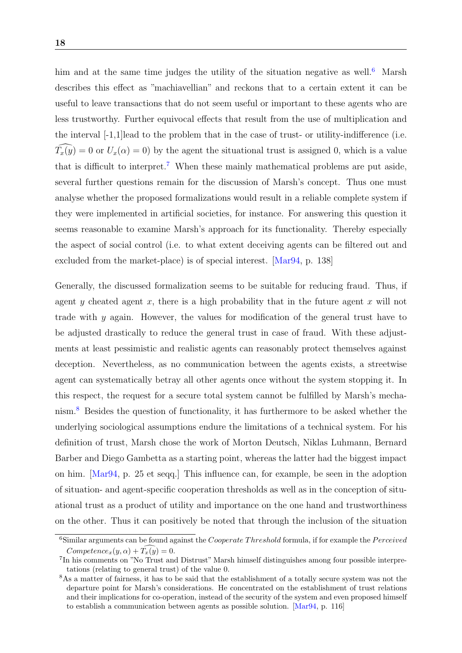him and at the same time judges the utility of the situation negative as well.<sup>[6](#page-18-0)</sup> Marsh describes this effect as "machiavellian" and reckons that to a certain extent it can be useful to leave transactions that do not seem useful or important to these agents who are less trustworthy. Further equivocal effects that result from the use of multiplication and the interval [-1,1]lead to the problem that in the case of trust- or utility-indifference (i.e.  $\widehat{T_x(y)} = 0$  or  $U_x(\alpha) = 0$ ) by the agent the situational trust is assigned 0, which is a value that is difficult to interpret.<sup>[7](#page-18-1)</sup> When these mainly mathematical problems are put aside, several further questions remain for the discussion of Marsh's concept. Thus one must analyse whether the proposed formalizations would result in a reliable complete system if they were implemented in artificial societies, for instance. For answering this question it seems reasonable to examine Marsh's approach for its functionality. Thereby especially the aspect of social control (i.e. to what extent deceiving agents can be filtered out and excluded from the market-place) is of special interest. [\[Mar94,](#page-49-3) p. 138]

Generally, the discussed formalization seems to be suitable for reducing fraud. Thus, if agent y cheated agent x, there is a high probability that in the future agent x will not trade with y again. However, the values for modification of the general trust have to be adjusted drastically to reduce the general trust in case of fraud. With these adjustments at least pessimistic and realistic agents can reasonably protect themselves against deception. Nevertheless, as no communication between the agents exists, a streetwise agent can systematically betray all other agents once without the system stopping it. In this respect, the request for a secure total system cannot be fulfilled by Marsh's mechanism.[8](#page-18-2) Besides the question of functionality, it has furthermore to be asked whether the underlying sociological assumptions endure the limitations of a technical system. For his definition of trust, Marsh chose the work of Morton Deutsch, Niklas Luhmann, Bernard Barber and Diego Gambetta as a starting point, whereas the latter had the biggest impact on him. [\[Mar94,](#page-49-3) p. 25 et seqq.] This influence can, for example, be seen in the adoption of situation- and agent-specific cooperation thresholds as well as in the conception of situational trust as a product of utility and importance on the one hand and trustworthiness on the other. Thus it can positively be noted that through the inclusion of the situation

<span id="page-18-0"></span> $6$ Similar arguments can be found against the *Cooperate Threshold* formula, if for example the *Perceived*  $Competence_x(y, \alpha) + T_x(y) = 0.$ 

<span id="page-18-1"></span><sup>7</sup> In his comments on "No Trust and Distrust" Marsh himself distinguishes among four possible interpretations (relating to general trust) of the value 0.

<span id="page-18-2"></span><sup>8</sup>As a matter of fairness, it has to be said that the establishment of a totally secure system was not the departure point for Marsh's considerations. He concentrated on the establishment of trust relations and their implications for co-operation, instead of the security of the system and even proposed himself to establish a communication between agents as possible solution. [\[Mar94,](#page-49-3) p. 116]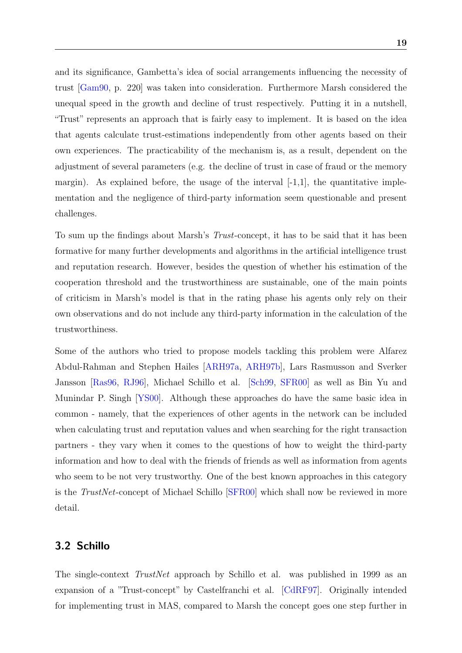and its significance, Gambetta's idea of social arrangements influencing the necessity of trust [\[Gam90,](#page-49-2) p. 220] was taken into consideration. Furthermore Marsh considered the unequal speed in the growth and decline of trust respectively. Putting it in a nutshell, "Trust" represents an approach that is fairly easy to implement. It is based on the idea that agents calculate trust-estimations independently from other agents based on their own experiences. The practicability of the mechanism is, as a result, dependent on the adjustment of several parameters (e.g. the decline of trust in case of fraud or the memory margin). As explained before, the usage of the interval  $[-1,1]$ , the quantitative implementation and the negligence of third-party information seem questionable and present challenges.

To sum up the findings about Marsh's *Trust*-concept, it has to be said that it has been formative for many further developments and algorithms in the artificial intelligence trust and reputation research. However, besides the question of whether his estimation of the cooperation threshold and the trustworthiness are sustainable, one of the main points of criticism in Marsh's model is that in the rating phase his agents only rely on their own observations and do not include any third-party information in the calculation of the trustworthiness.

Some of the authors who tried to propose models tackling this problem were Alfarez Abdul-Rahman and Stephen Hailes [\[ARH97a,](#page-48-7) [ARH97b\]](#page-48-1), Lars Rasmusson and Sverker Jansson [\[Ras96,](#page-50-3) [RJ96\]](#page-50-2), Michael Schillo et al. [\[Sch99,](#page-51-5) [SFR00\]](#page-51-4) as well as Bin Yu and Munindar P. Singh [\[YS00\]](#page-52-3). Although these approaches do have the same basic idea in common - namely, that the experiences of other agents in the network can be included when calculating trust and reputation values and when searching for the right transaction partners - they vary when it comes to the questions of how to weight the third-party information and how to deal with the friends of friends as well as information from agents who seem to be not very trustworthy. One of the best known approaches in this category is the TrustNet-concept of Michael Schillo [\[SFR00\]](#page-51-4) which shall now be reviewed in more detail.

### <span id="page-19-0"></span>3.2 Schillo

The single-context TrustNet approach by Schillo et al. was published in 1999 as an expansion of a "Trust-concept" by Castelfranchi et al. [\[CdRF97\]](#page-48-8). Originally intended for implementing trust in MAS, compared to Marsh the concept goes one step further in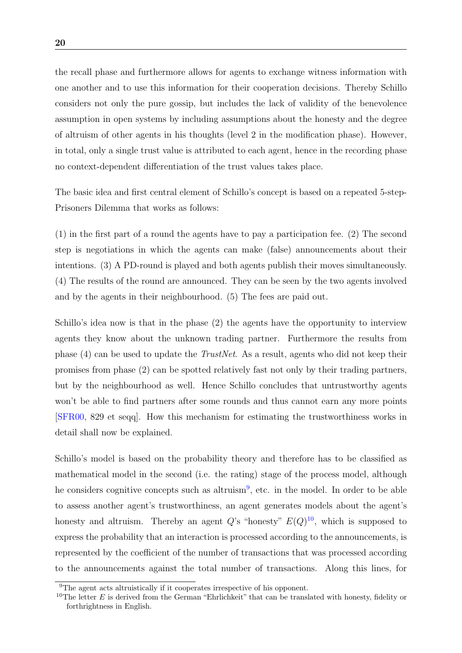the recall phase and furthermore allows for agents to exchange witness information with one another and to use this information for their cooperation decisions. Thereby Schillo considers not only the pure gossip, but includes the lack of validity of the benevolence assumption in open systems by including assumptions about the honesty and the degree of altruism of other agents in his thoughts (level 2 in the modification phase). However, in total, only a single trust value is attributed to each agent, hence in the recording phase no context-dependent differentiation of the trust values takes place.

The basic idea and first central element of Schillo's concept is based on a repeated 5-step-Prisoners Dilemma that works as follows:

(1) in the first part of a round the agents have to pay a participation fee. (2) The second step is negotiations in which the agents can make (false) announcements about their intentions. (3) A PD-round is played and both agents publish their moves simultaneously. (4) The results of the round are announced. They can be seen by the two agents involved and by the agents in their neighbourhood. (5) The fees are paid out.

Schillo's idea now is that in the phase (2) the agents have the opportunity to interview agents they know about the unknown trading partner. Furthermore the results from phase (4) can be used to update the TrustNet. As a result, agents who did not keep their promises from phase (2) can be spotted relatively fast not only by their trading partners, but by the neighbourhood as well. Hence Schillo concludes that untrustworthy agents won't be able to find partners after some rounds and thus cannot earn any more points [\[SFR00,](#page-51-4) 829 et seqq]. How this mechanism for estimating the trustworthiness works in detail shall now be explained.

Schillo's model is based on the probability theory and therefore has to be classified as mathematical model in the second (i.e. the rating) stage of the process model, although he considers cognitive concepts such as altruism<sup>[9](#page-20-0)</sup>, etc. in the model. In order to be able to assess another agent's trustworthiness, an agent generates models about the agent's honesty and altruism. Thereby an agent  $Q$ 's "honesty"  $E(Q)^{10}$  $E(Q)^{10}$  $E(Q)^{10}$ , which is supposed to express the probability that an interaction is processed according to the announcements, is represented by the coefficient of the number of transactions that was processed according to the announcements against the total number of transactions. Along this lines, for

<span id="page-20-0"></span><sup>&</sup>lt;sup>9</sup>The agent acts altruistically if it cooperates irrespective of his opponent.

<span id="page-20-1"></span><sup>&</sup>lt;sup>10</sup>The letter  $E$  is derived from the German "Ehrlichkeit" that can be translated with honesty, fidelity or forthrightness in English.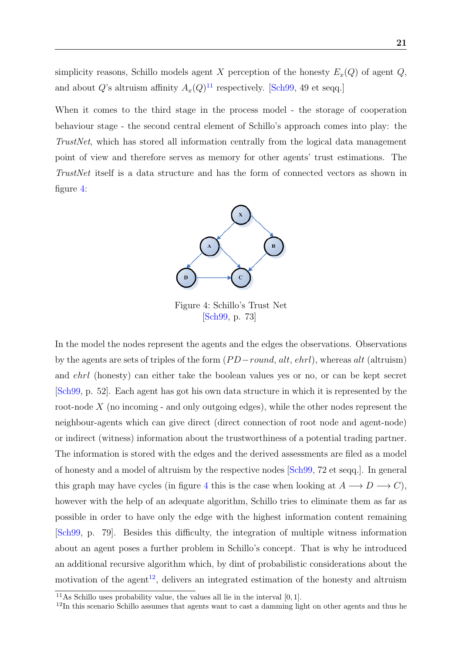simplicity reasons, Schillo models agent X perception of the honesty  $E_x(Q)$  of agent  $Q$ , and about Q's altruism affinity  $A_x(Q)^{11}$  $A_x(Q)^{11}$  $A_x(Q)^{11}$  respectively. [\[Sch99,](#page-51-5) 49 et seqq.]

When it comes to the third stage in the process model - the storage of cooperation behaviour stage - the second central element of Schillo's approach comes into play: the TrustNet, which has stored all information centrally from the logical data management point of view and therefore serves as memory for other agents' trust estimations. The TrustNet itself is a data structure and has the form of connected vectors as shown in figure [4:](#page-21-0)



<span id="page-21-0"></span>Figure 4: Schillo's Trust Net [\[Sch99,](#page-51-5) p. 73]

In the model the nodes represent the agents and the edges the observations. Observations by the agents are sets of triples of the form  $(PD-round, alt, chrl)$ , whereas alt (altruism) and ehrl (honesty) can either take the boolean values yes or no, or can be kept secret [\[Sch99,](#page-51-5) p. 52]. Each agent has got his own data structure in which it is represented by the root-node  $X$  (no incoming - and only outgoing edges), while the other nodes represent the neighbour-agents which can give direct (direct connection of root node and agent-node) or indirect (witness) information about the trustworthiness of a potential trading partner. The information is stored with the edges and the derived assessments are filed as a model of honesty and a model of altruism by the respective nodes [\[Sch99,](#page-51-5) 72 et seqq.]. In general this graph may have cycles (in figure [4](#page-21-0) this is the case when looking at  $A \longrightarrow D \longrightarrow C$ ), however with the help of an adequate algorithm, Schillo tries to eliminate them as far as possible in order to have only the edge with the highest information content remaining [\[Sch99,](#page-51-5) p. 79]. Besides this difficulty, the integration of multiple witness information about an agent poses a further problem in Schillo's concept. That is why he introduced an additional recursive algorithm which, by dint of probabilistic considerations about the motivation of the agent<sup>[12](#page-21-2)</sup>, delivers an integrated estimation of the honesty and altruism

<span id="page-21-1"></span><sup>&</sup>lt;sup>11</sup>As Schillo uses probability value, the values all lie in the interval  $[0, 1]$ .

<span id="page-21-2"></span> $12$ In this scenario Schillo assumes that agents want to cast a damming light on other agents and thus he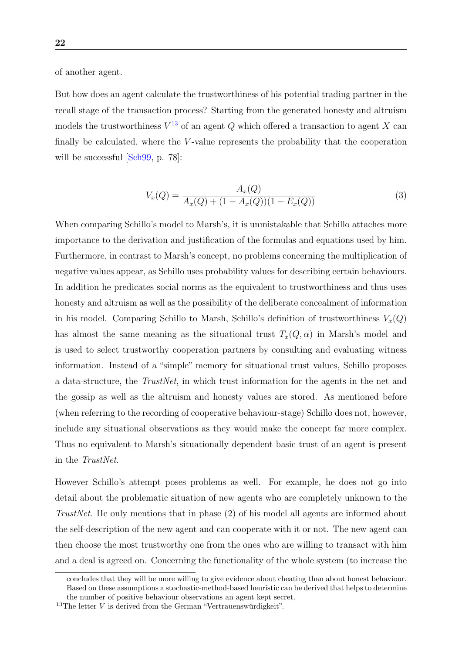of another agent.

But how does an agent calculate the trustworthiness of his potential trading partner in the recall stage of the transaction process? Starting from the generated honesty and altruism models the trustworthiness  $V^{13}$  $V^{13}$  $V^{13}$  of an agent Q which offered a transaction to agent X can finally be calculated, where the  $V$ -value represents the probability that the cooperation will be successful [\[Sch99,](#page-51-5) p. 78]:

$$
V_x(Q) = \frac{A_x(Q)}{A_x(Q) + (1 - A_x(Q))(1 - E_x(Q))}
$$
\n(3)

When comparing Schillo's model to Marsh's, it is unmistakable that Schillo attaches more importance to the derivation and justification of the formulas and equations used by him. Furthermore, in contrast to Marsh's concept, no problems concerning the multiplication of negative values appear, as Schillo uses probability values for describing certain behaviours. In addition he predicates social norms as the equivalent to trustworthiness and thus uses honesty and altruism as well as the possibility of the deliberate concealment of information in his model. Comparing Schillo to Marsh, Schillo's definition of trustworthiness  $V_x(Q)$ has almost the same meaning as the situational trust  $T_x(Q, \alpha)$  in Marsh's model and is used to select trustworthy cooperation partners by consulting and evaluating witness information. Instead of a "simple" memory for situational trust values, Schillo proposes a data-structure, the TrustNet, in which trust information for the agents in the net and the gossip as well as the altruism and honesty values are stored. As mentioned before (when referring to the recording of cooperative behaviour-stage) Schillo does not, however, include any situational observations as they would make the concept far more complex. Thus no equivalent to Marsh's situationally dependent basic trust of an agent is present in the TrustNet.

However Schillo's attempt poses problems as well. For example, he does not go into detail about the problematic situation of new agents who are completely unknown to the TrustNet. He only mentions that in phase (2) of his model all agents are informed about the self-description of the new agent and can cooperate with it or not. The new agent can then choose the most trustworthy one from the ones who are willing to transact with him and a deal is agreed on. Concerning the functionality of the whole system (to increase the

concludes that they will be more willing to give evidence about cheating than about honest behaviour. Based on these assumptions a stochastic-method-based heuristic can be derived that helps to determine

<span id="page-22-0"></span>the number of positive behaviour observations an agent kept secret.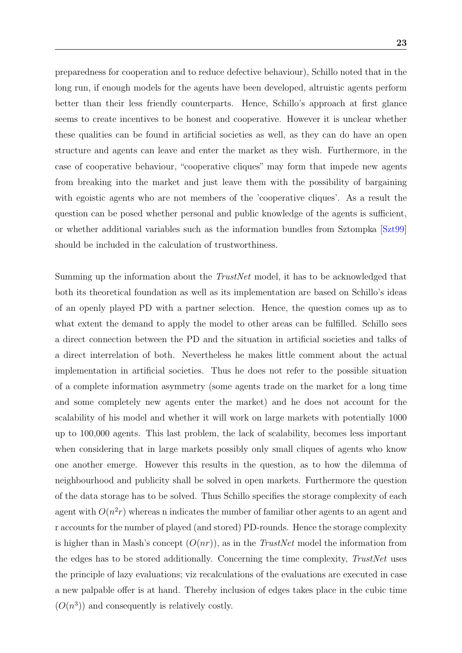preparedness for cooperation and to reduce defective behaviour), Schillo noted that in the long run, if enough models for the agents have been developed, altruistic agents perform better than their less friendly counterparts. Hence, Schillo's approach at first glance seems to create incentives to be honest and cooperative. However it is unclear whether these qualities can be found in artificial societies as well, as they can do have an open structure and agents can leave and enter the market as they wish. Furthermore, in the case of cooperative behaviour, "cooperative cliques" may form that impede new agents from breaking into the market and just leave them with the possibility of bargaining with egoistic agents who are not members of the 'cooperative cliques'. As a result the question can be posed whether personal and public knowledge of the agents is sufficient, or whether additional variables such as the information bundles from Sztompka [\[Szt99\]](#page-51-6) should be included in the calculation of trustworthiness.

Summing up the information about the *TrustNet* model, it has to be acknowledged that both its theoretical foundation as well as its implementation are based on Schillo's ideas of an openly played PD with a partner selection. Hence, the question comes up as to what extent the demand to apply the model to other areas can be fulfilled. Schillo sees a direct connection between the PD and the situation in artificial societies and talks of a direct interrelation of both. Nevertheless he makes little comment about the actual implementation in artificial societies. Thus he does not refer to the possible situation of a complete information asymmetry (some agents trade on the market for a long time and some completely new agents enter the market) and he does not account for the scalability of his model and whether it will work on large markets with potentially 1000 up to 100,000 agents. This last problem, the lack of scalability, becomes less important when considering that in large markets possibly only small cliques of agents who know one another emerge. However this results in the question, as to how the dilemma of neighbourhood and publicity shall be solved in open markets. Furthermore the question of the data storage has to be solved. Thus Schillo specifies the storage complexity of each agent with  $O(n^2r)$  whereas n indicates the number of familiar other agents to an agent and r accounts for the number of played (and stored) PD-rounds. Hence the storage complexity is higher than in Mash's concept  $(O(nr))$ , as in the *TrustNet* model the information from the edges has to be stored additionally. Concerning the time complexity, TrustNet uses the principle of lazy evaluations; viz recalculations of the evaluations are executed in case a new palpable offer is at hand. Thereby inclusion of edges takes place in the cubic time  $(O(n^3))$  and consequently is relatively costly.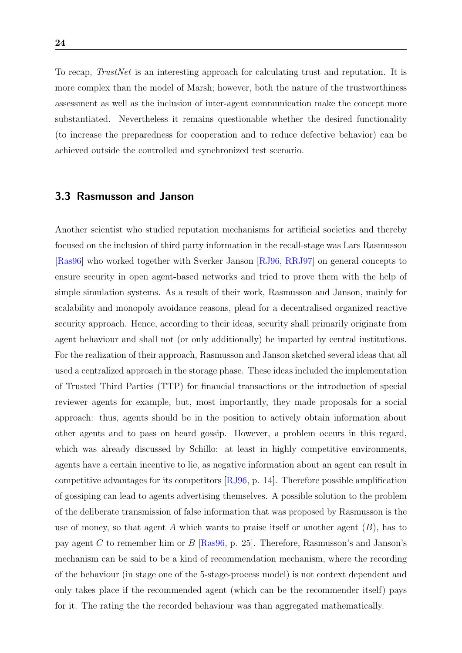To recap, *TrustNet* is an interesting approach for calculating trust and reputation. It is more complex than the model of Marsh; however, both the nature of the trustworthiness assessment as well as the inclusion of inter-agent communication make the concept more substantiated. Nevertheless it remains questionable whether the desired functionality (to increase the preparedness for cooperation and to reduce defective behavior) can be achieved outside the controlled and synchronized test scenario.

#### <span id="page-24-0"></span>3.3 Rasmusson and Janson

Another scientist who studied reputation mechanisms for artificial societies and thereby focused on the inclusion of third party information in the recall-stage was Lars Rasmusson [\[Ras96\]](#page-50-3) who worked together with Sverker Janson [\[RJ96,](#page-50-2) [RRJ97\]](#page-51-7) on general concepts to ensure security in open agent-based networks and tried to prove them with the help of simple simulation systems. As a result of their work, Rasmusson and Janson, mainly for scalability and monopoly avoidance reasons, plead for a decentralised organized reactive security approach. Hence, according to their ideas, security shall primarily originate from agent behaviour and shall not (or only additionally) be imparted by central institutions. For the realization of their approach, Rasmusson and Janson sketched several ideas that all used a centralized approach in the storage phase. These ideas included the implementation of Trusted Third Parties (TTP) for financial transactions or the introduction of special reviewer agents for example, but, most importantly, they made proposals for a social approach: thus, agents should be in the position to actively obtain information about other agents and to pass on heard gossip. However, a problem occurs in this regard, which was already discussed by Schillo: at least in highly competitive environments, agents have a certain incentive to lie, as negative information about an agent can result in competitive advantages for its competitors [\[RJ96,](#page-50-2) p. 14]. Therefore possible amplification of gossiping can lead to agents advertising themselves. A possible solution to the problem of the deliberate transmission of false information that was proposed by Rasmusson is the use of money, so that agent A which wants to praise itself or another agent  $(B)$ , has to pay agent C to remember him or B [\[Ras96,](#page-50-3) p. 25]. Therefore, Rasmusson's and Janson's mechanism can be said to be a kind of recommendation mechanism, where the recording of the behaviour (in stage one of the 5-stage-process model) is not context dependent and only takes place if the recommended agent (which can be the recommender itself) pays for it. The rating the the recorded behaviour was than aggregated mathematically.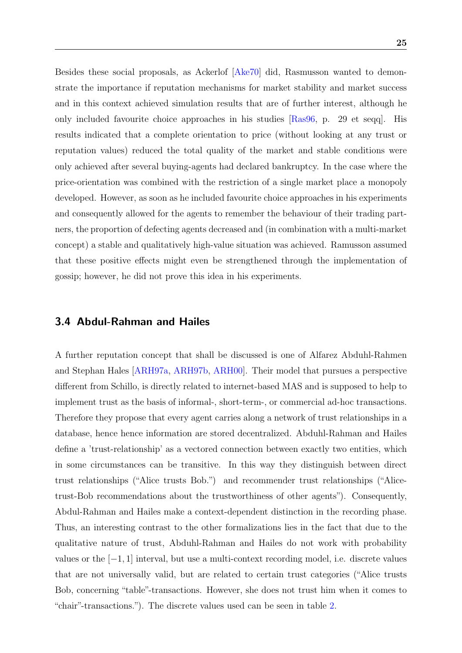Besides these social proposals, as Ackerlof [\[Ake70\]](#page-48-3) did, Rasmusson wanted to demonstrate the importance if reputation mechanisms for market stability and market success and in this context achieved simulation results that are of further interest, although he only included favourite choice approaches in his studies [\[Ras96,](#page-50-3) p. 29 et seqq]. His results indicated that a complete orientation to price (without looking at any trust or reputation values) reduced the total quality of the market and stable conditions were only achieved after several buying-agents had declared bankruptcy. In the case where the price-orientation was combined with the restriction of a single market place a monopoly developed. However, as soon as he included favourite choice approaches in his experiments and consequently allowed for the agents to remember the behaviour of their trading partners, the proportion of defecting agents decreased and (in combination with a multi-market concept) a stable and qualitatively high-value situation was achieved. Ramusson assumed that these positive effects might even be strengthened through the implementation of gossip; however, he did not prove this idea in his experiments.

#### <span id="page-25-0"></span>3.4 Abdul-Rahman and Hailes

A further reputation concept that shall be discussed is one of Alfarez Abduhl-Rahmen and Stephan Hales [\[ARH97a,](#page-48-7) [ARH97b,](#page-48-1) [ARH00\]](#page-48-9). Their model that pursues a perspective different from Schillo, is directly related to internet-based MAS and is supposed to help to implement trust as the basis of informal-, short-term-, or commercial ad-hoc transactions. Therefore they propose that every agent carries along a network of trust relationships in a database, hence hence information are stored decentralized. Abduhl-Rahman and Hailes define a 'trust-relationship' as a vectored connection between exactly two entities, which in some circumstances can be transitive. In this way they distinguish between direct trust relationships ("Alice trusts Bob.") and recommender trust relationships ("Alicetrust-Bob recommendations about the trustworthiness of other agents"). Consequently, Abdul-Rahman and Hailes make a context-dependent distinction in the recording phase. Thus, an interesting contrast to the other formalizations lies in the fact that due to the qualitative nature of trust, Abduhl-Rahman and Hailes do not work with probability values or the  $[-1, 1]$  interval, but use a multi-context recording model, i.e. discrete values that are not universally valid, but are related to certain trust categories ("Alice trusts Bob, concerning "table"-transactions. However, she does not trust him when it comes to "chair"-transactions."). The discrete values used can be seen in table [2.](#page-26-0)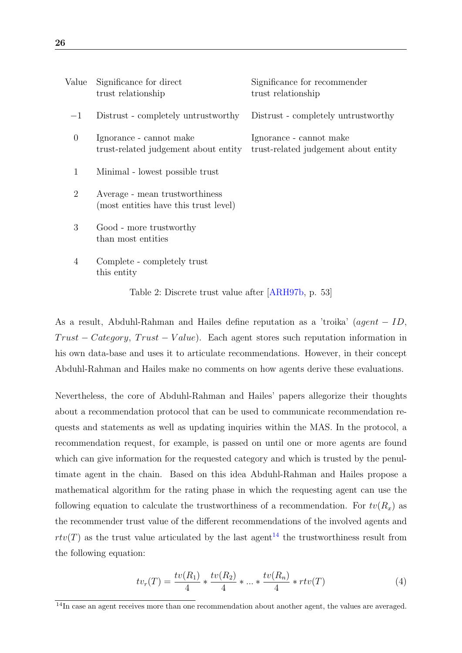| Value          | Significance for direct<br>trust relationship                           | Significance for recommender<br>trust relationship              |
|----------------|-------------------------------------------------------------------------|-----------------------------------------------------------------|
| $-1$           | Distrust - completely untrustworthy                                     | Distrust - completely untrustworthy                             |
| $\overline{0}$ | Ignorance - cannot make<br>trust-related judgement about entity         | Ignorance - cannot make<br>trust-related judgement about entity |
| $\mathbf{1}$   | Minimal - lowest possible trust                                         |                                                                 |
| $\overline{2}$ | Average - mean trustworthiness<br>(most entities have this trust level) |                                                                 |
| 3              | Good - more trustworthy<br>than most entities                           |                                                                 |
| 4              | Complete - completely trust<br>this entity                              |                                                                 |

<span id="page-26-0"></span>Table 2: Discrete trust value after [\[ARH97b,](#page-48-1) p. 53]

As a result, Abduhl-Rahman and Hailes define reputation as a 'troika' (agent − ID,  $Trust - Category, Trust - Value)$ . Each agent stores such reputation information in his own data-base and uses it to articulate recommendations. However, in their concept Abduhl-Rahman and Hailes make no comments on how agents derive these evaluations.

Nevertheless, the core of Abduhl-Rahman and Hailes' papers allegorize their thoughts about a recommendation protocol that can be used to communicate recommendation requests and statements as well as updating inquiries within the MAS. In the protocol, a recommendation request, for example, is passed on until one or more agents are found which can give information for the requested category and which is trusted by the penultimate agent in the chain. Based on this idea Abduhl-Rahman and Hailes propose a mathematical algorithm for the rating phase in which the requesting agent can use the following equation to calculate the trustworthiness of a recommendation. For  $tv(R_x)$  as the recommender trust value of the different recommendations of the involved agents and  $rtv(T)$  as the trust value articulated by the last agent<sup>[14](#page-26-1)</sup> the trustworthiness result from the following equation:

$$
tv_r(T) = \frac{tv(R_1)}{4} * \frac{tv(R_2)}{4} * ... * \frac{tv(R_n)}{4} * rtv(T)
$$
 (4)

<span id="page-26-1"></span><sup>&</sup>lt;sup>14</sup>In case an agent receives more than one recommendation about another agent, the values are averaged.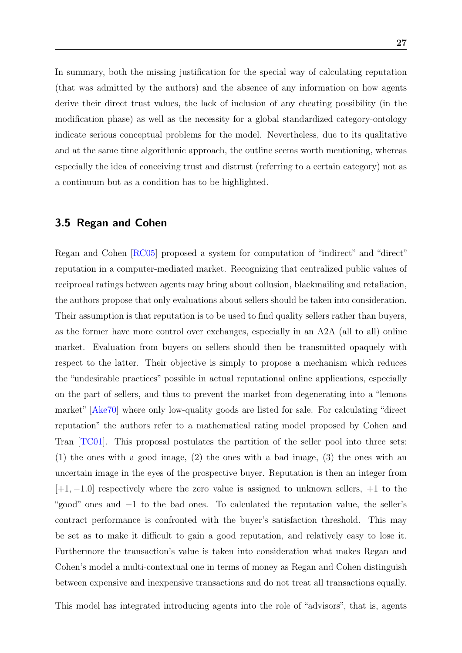In summary, both the missing justification for the special way of calculating reputation (that was admitted by the authors) and the absence of any information on how agents derive their direct trust values, the lack of inclusion of any cheating possibility (in the modification phase) as well as the necessity for a global standardized category-ontology indicate serious conceptual problems for the model. Nevertheless, due to its qualitative and at the same time algorithmic approach, the outline seems worth mentioning, whereas especially the idea of conceiving trust and distrust (referring to a certain category) not as a continuum but as a condition has to be highlighted.

#### <span id="page-27-0"></span>3.5 Regan and Cohen

Regan and Cohen [\[RC05\]](#page-50-7) proposed a system for computation of "indirect" and "direct" reputation in a computer-mediated market. Recognizing that centralized public values of reciprocal ratings between agents may bring about collusion, blackmailing and retaliation, the authors propose that only evaluations about sellers should be taken into consideration. Their assumption is that reputation is to be used to find quality sellers rather than buyers, as the former have more control over exchanges, especially in an A2A (all to all) online market. Evaluation from buyers on sellers should then be transmitted opaquely with respect to the latter. Their objective is simply to propose a mechanism which reduces the "undesirable practices" possible in actual reputational online applications, especially on the part of sellers, and thus to prevent the market from degenerating into a "lemons market" [\[Ake70\]](#page-48-3) where only low-quality goods are listed for sale. For calculating "direct reputation" the authors refer to a mathematical rating model proposed by Cohen and Tran [\[TC01\]](#page-51-8). This proposal postulates the partition of the seller pool into three sets: (1) the ones with a good image, (2) the ones with a bad image, (3) the ones with an uncertain image in the eyes of the prospective buyer. Reputation is then an integer from  $[+1, -1.0]$  respectively where the zero value is assigned to unknown sellers,  $+1$  to the "good" ones and −1 to the bad ones. To calculated the reputation value, the seller's contract performance is confronted with the buyer's satisfaction threshold. This may be set as to make it difficult to gain a good reputation, and relatively easy to lose it. Furthermore the transaction's value is taken into consideration what makes Regan and Cohen's model a multi-contextual one in terms of money as Regan and Cohen distinguish between expensive and inexpensive transactions and do not treat all transactions equally.

This model has integrated introducing agents into the role of "advisors", that is, agents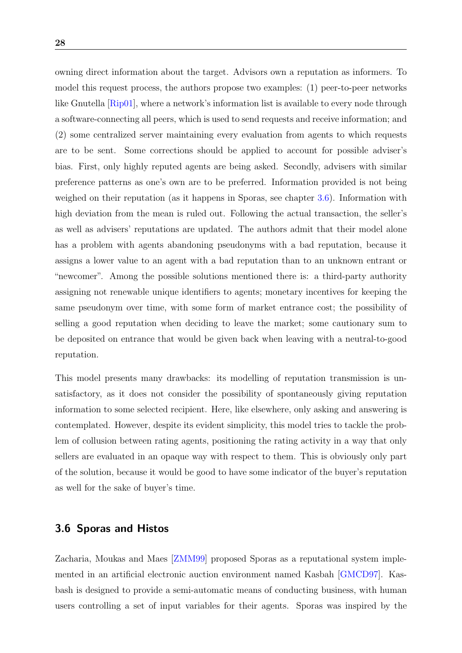owning direct information about the target. Advisors own a reputation as informers. To model this request process, the authors propose two examples: (1) peer-to-peer networks like Gnutella [\[Rip01\]](#page-50-8), where a network's information list is available to every node through a software-connecting all peers, which is used to send requests and receive information; and (2) some centralized server maintaining every evaluation from agents to which requests are to be sent. Some corrections should be applied to account for possible adviser's bias. First, only highly reputed agents are being asked. Secondly, advisers with similar preference patterns as one's own are to be preferred. Information provided is not being weighed on their reputation (as it happens in Sporas, see chapter [3.6\)](#page-28-0). Information with high deviation from the mean is ruled out. Following the actual transaction, the seller's as well as advisers' reputations are updated. The authors admit that their model alone has a problem with agents abandoning pseudonyms with a bad reputation, because it assigns a lower value to an agent with a bad reputation than to an unknown entrant or "newcomer". Among the possible solutions mentioned there is: a third-party authority assigning not renewable unique identifiers to agents; monetary incentives for keeping the same pseudonym over time, with some form of market entrance cost; the possibility of selling a good reputation when deciding to leave the market; some cautionary sum to be deposited on entrance that would be given back when leaving with a neutral-to-good reputation.

This model presents many drawbacks: its modelling of reputation transmission is unsatisfactory, as it does not consider the possibility of spontaneously giving reputation information to some selected recipient. Here, like elsewhere, only asking and answering is contemplated. However, despite its evident simplicity, this model tries to tackle the problem of collusion between rating agents, positioning the rating activity in a way that only sellers are evaluated in an opaque way with respect to them. This is obviously only part of the solution, because it would be good to have some indicator of the buyer's reputation as well for the sake of buyer's time.

#### <span id="page-28-0"></span>3.6 Sporas and Histos

Zacharia, Moukas and Maes [\[ZMM99\]](#page-52-2) proposed Sporas as a reputational system implemented in an artificial electronic auction environment named Kasbah [\[GMCD97\]](#page-49-4). Kasbash is designed to provide a semi-automatic means of conducting business, with human users controlling a set of input variables for their agents. Sporas was inspired by the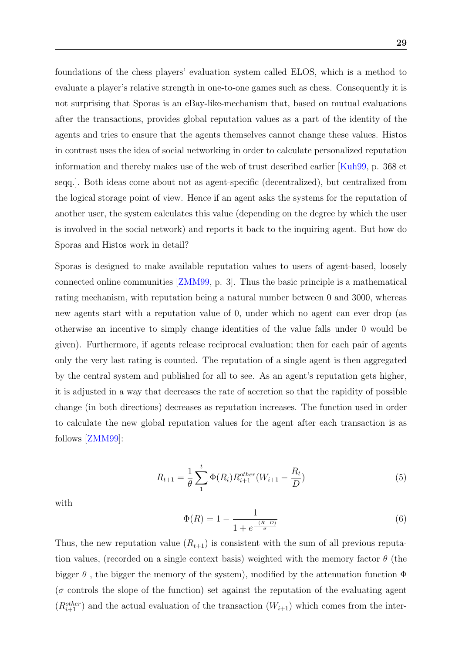29

foundations of the chess players' evaluation system called ELOS, which is a method to evaluate a player's relative strength in one-to-one games such as chess. Consequently it is not surprising that Sporas is an eBay-like-mechanism that, based on mutual evaluations after the transactions, provides global reputation values as a part of the identity of the agents and tries to ensure that the agents themselves cannot change these values. Histos in contrast uses the idea of social networking in order to calculate personalized reputation information and thereby makes use of the web of trust described earlier [\[Kuh99,](#page-49-1) p. 368 et seqq.]. Both ideas come about not as agent-specific (decentralized), but centralized from the logical storage point of view. Hence if an agent asks the systems for the reputation of another user, the system calculates this value (depending on the degree by which the user is involved in the social network) and reports it back to the inquiring agent. But how do Sporas and Histos work in detail?

Sporas is designed to make available reputation values to users of agent-based, loosely connected online communities [\[ZMM99,](#page-52-2) p. 3]. Thus the basic principle is a mathematical rating mechanism, with reputation being a natural number between 0 and 3000, whereas new agents start with a reputation value of 0, under which no agent can ever drop (as otherwise an incentive to simply change identities of the value falls under 0 would be given). Furthermore, if agents release reciprocal evaluation; then for each pair of agents only the very last rating is counted. The reputation of a single agent is then aggregated by the central system and published for all to see. As an agent's reputation gets higher, it is adjusted in a way that decreases the rate of accretion so that the rapidity of possible change (in both directions) decreases as reputation increases. The function used in order to calculate the new global reputation values for the agent after each transaction is as follows [\[ZMM99\]](#page-52-2):

$$
R_{t+1} = \frac{1}{\theta} \sum_{1}^{t} \Phi(R_i) R_{i+1}^{other}(W_{i+1} - \frac{R_t}{D})
$$
\n(5)

with

$$
\Phi(R) = 1 - \frac{1}{1 + e^{\frac{-(R-D)}{\sigma}}}
$$
\n(6)

Thus, the new reputation value  $(R_{t+1})$  is consistent with the sum of all previous reputation values, (recorded on a single context basis) weighted with the memory factor  $\theta$  (the bigger  $\theta$ , the bigger the memory of the system), modified by the attenuation function  $\Phi$  $(\sigma$  controls the slope of the function) set against the reputation of the evaluating agent  $(R_{i+1}^{other})$  and the actual evaluation of the transaction  $(W_{i+1})$  which comes from the inter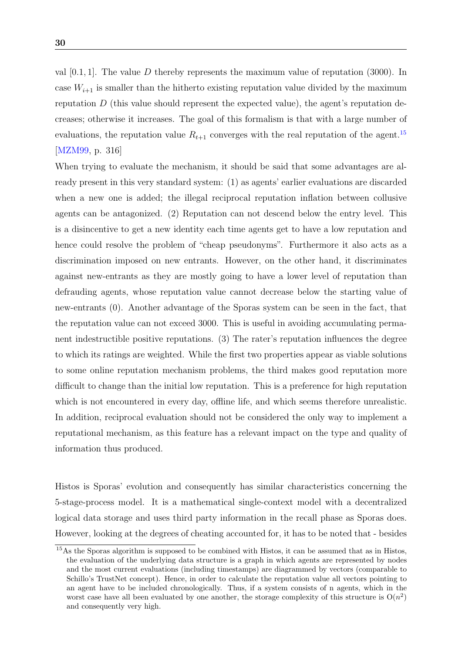val  $[0.1, 1]$ . The value D thereby represents the maximum value of reputation (3000). In case  $W_{i+1}$  is smaller than the hitherto existing reputation value divided by the maximum reputation  $D$  (this value should represent the expected value), the agent's reputation decreases; otherwise it increases. The goal of this formalism is that with a large number of evaluations, the reputation value  $R_{t+1}$  converges with the real reputation of the agent.<sup>[15](#page-30-0)</sup> [\[MZM99,](#page-50-1) p. 316]

When trying to evaluate the mechanism, it should be said that some advantages are already present in this very standard system: (1) as agents' earlier evaluations are discarded when a new one is added; the illegal reciprocal reputation inflation between collusive agents can be antagonized. (2) Reputation can not descend below the entry level. This is a disincentive to get a new identity each time agents get to have a low reputation and hence could resolve the problem of "cheap pseudonyms". Furthermore it also acts as a discrimination imposed on new entrants. However, on the other hand, it discriminates against new-entrants as they are mostly going to have a lower level of reputation than defrauding agents, whose reputation value cannot decrease below the starting value of new-entrants (0). Another advantage of the Sporas system can be seen in the fact, that the reputation value can not exceed 3000. This is useful in avoiding accumulating permanent indestructible positive reputations. (3) The rater's reputation influences the degree to which its ratings are weighted. While the first two properties appear as viable solutions to some online reputation mechanism problems, the third makes good reputation more difficult to change than the initial low reputation. This is a preference for high reputation which is not encountered in every day, offline life, and which seems therefore unrealistic. In addition, reciprocal evaluation should not be considered the only way to implement a reputational mechanism, as this feature has a relevant impact on the type and quality of information thus produced.

Histos is Sporas' evolution and consequently has similar characteristics concerning the 5-stage-process model. It is a mathematical single-context model with a decentralized logical data storage and uses third party information in the recall phase as Sporas does. However, looking at the degrees of cheating accounted for, it has to be noted that - besides

<span id="page-30-0"></span><sup>15</sup>As the Sporas algorithm is supposed to be combined with Histos, it can be assumed that as in Histos, the evaluation of the underlying data structure is a graph in which agents are represented by nodes and the most current evaluations (including timestamps) are diagrammed by vectors (comparable to Schillo's TrustNet concept). Hence, in order to calculate the reputation value all vectors pointing to an agent have to be included chronologically. Thus, if a system consists of n agents, which in the worst case have all been evaluated by one another, the storage complexity of this structure is  $O(n^2)$ and consequently very high.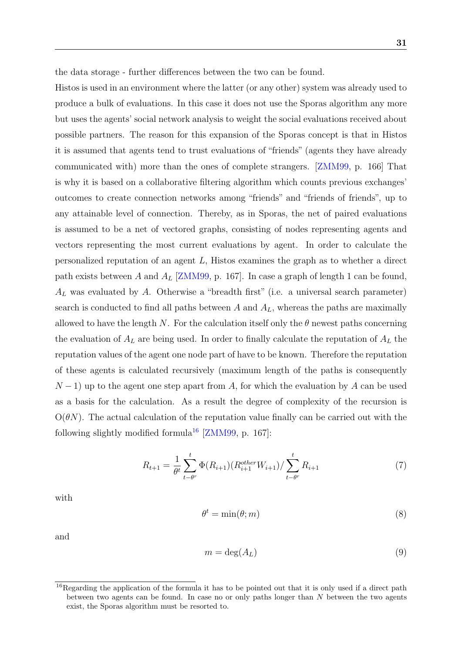the data storage - further differences between the two can be found.

Histos is used in an environment where the latter (or any other) system was already used to produce a bulk of evaluations. In this case it does not use the Sporas algorithm any more but uses the agents' social network analysis to weight the social evaluations received about possible partners. The reason for this expansion of the Sporas concept is that in Histos it is assumed that agents tend to trust evaluations of "friends" (agents they have already communicated with) more than the ones of complete strangers. [\[ZMM99,](#page-52-2) p. 166] That is why it is based on a collaborative filtering algorithm which counts previous exchanges' outcomes to create connection networks among "friends" and "friends of friends", up to any attainable level of connection. Thereby, as in Sporas, the net of paired evaluations is assumed to be a net of vectored graphs, consisting of nodes representing agents and vectors representing the most current evaluations by agent. In order to calculate the personalized reputation of an agent L, Histos examines the graph as to whether a direct path exists between A and  $A_L$  [\[ZMM99,](#page-52-2) p. 167]. In case a graph of length 1 can be found,  $A_L$  was evaluated by A. Otherwise a "breadth first" (i.e. a universal search parameter) search is conducted to find all paths between  $A$  and  $A_L$ , whereas the paths are maximally allowed to have the length N. For the calculation itself only the  $\theta$  newest paths concerning the evaluation of  $A_L$  are being used. In order to finally calculate the reputation of  $A_L$  the reputation values of the agent one node part of have to be known. Therefore the reputation of these agents is calculated recursively (maximum length of the paths is consequently  $N-1$ ) up to the agent one step apart from A, for which the evaluation by A can be used as a basis for the calculation. As a result the degree of complexity of the recursion is  $O(\theta N)$ . The actual calculation of the reputation value finally can be carried out with the following slightly modified formula<sup>[16](#page-31-0)</sup> [\[ZMM99,](#page-52-2) p. 167]:

$$
R_{t+1} = \frac{1}{\theta^t} \sum_{t-\theta^r}^t \Phi(R_{i+1}) (R_{i+1}^{other} W_{i+1}) / \sum_{t-\theta^r}^t R_{i+1}
$$
 (7)

with

$$
\theta^t = \min(\theta; m) \tag{8}
$$

and

$$
m = \deg(A_L) \tag{9}
$$

<span id="page-31-0"></span><sup>&</sup>lt;sup>16</sup>Regarding the application of the formula it has to be pointed out that it is only used if a direct path between two agents can be found. In case no or only paths longer than  $N$  between the two agents exist, the Sporas algorithm must be resorted to.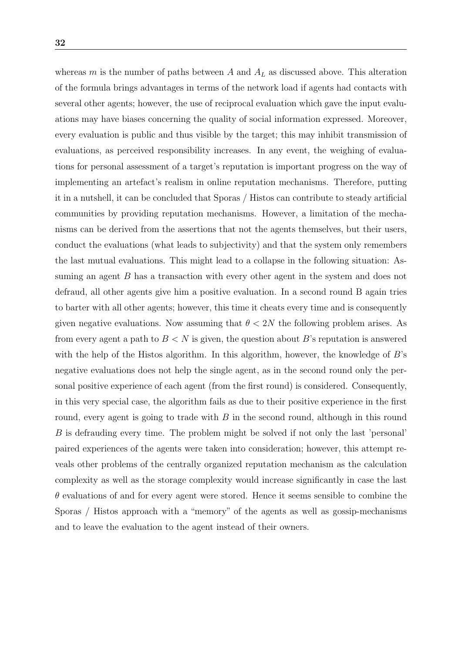whereas m is the number of paths between A and  $A_L$  as discussed above. This alteration of the formula brings advantages in terms of the network load if agents had contacts with several other agents; however, the use of reciprocal evaluation which gave the input evaluations may have biases concerning the quality of social information expressed. Moreover, every evaluation is public and thus visible by the target; this may inhibit transmission of evaluations, as perceived responsibility increases. In any event, the weighing of evaluations for personal assessment of a target's reputation is important progress on the way of implementing an artefact's realism in online reputation mechanisms. Therefore, putting it in a nutshell, it can be concluded that Sporas / Histos can contribute to steady artificial communities by providing reputation mechanisms. However, a limitation of the mechanisms can be derived from the assertions that not the agents themselves, but their users, conduct the evaluations (what leads to subjectivity) and that the system only remembers the last mutual evaluations. This might lead to a collapse in the following situation: Assuming an agent B has a transaction with every other agent in the system and does not defraud, all other agents give him a positive evaluation. In a second round B again tries to barter with all other agents; however, this time it cheats every time and is consequently given negative evaluations. Now assuming that  $\theta < 2N$  the following problem arises. As from every agent a path to  $B < N$  is given, the question about B's reputation is answered with the help of the Histos algorithm. In this algorithm, however, the knowledge of  $B$ 's negative evaluations does not help the single agent, as in the second round only the personal positive experience of each agent (from the first round) is considered. Consequently, in this very special case, the algorithm fails as due to their positive experience in the first round, every agent is going to trade with  $B$  in the second round, although in this round B is defrauding every time. The problem might be solved if not only the last 'personal' paired experiences of the agents were taken into consideration; however, this attempt reveals other problems of the centrally organized reputation mechanism as the calculation complexity as well as the storage complexity would increase significantly in case the last  $\theta$  evaluations of and for every agent were stored. Hence it seems sensible to combine the Sporas / Histos approach with a "memory" of the agents as well as gossip-mechanisms and to leave the evaluation to the agent instead of their owners.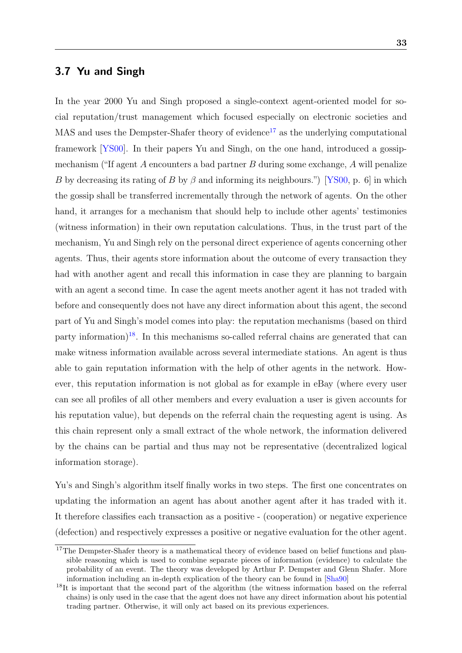### <span id="page-33-0"></span>3.7 Yu and Singh

In the year 2000 Yu and Singh proposed a single-context agent-oriented model for social reputation/trust management which focused especially on electronic societies and  $MAS$  and uses the Dempster-Shafer theory of evidence<sup>[17](#page-33-1)</sup> as the underlying computational framework [\[YS00\]](#page-52-3). In their papers Yu and Singh, on the one hand, introduced a gossipmechanism ("If agent  $A$  encounters a bad partner  $B$  during some exchange,  $A$  will penalize B by decreasing its rating of B by  $\beta$  and informing its neighbours.") [\[YS00,](#page-52-3) p. 6] in which the gossip shall be transferred incrementally through the network of agents. On the other hand, it arranges for a mechanism that should help to include other agents' testimonies (witness information) in their own reputation calculations. Thus, in the trust part of the mechanism, Yu and Singh rely on the personal direct experience of agents concerning other agents. Thus, their agents store information about the outcome of every transaction they had with another agent and recall this information in case they are planning to bargain with an agent a second time. In case the agent meets another agent it has not traded with before and consequently does not have any direct information about this agent, the second part of Yu and Singh's model comes into play: the reputation mechanisms (based on third party information)<sup>[18](#page-33-2)</sup>. In this mechanisms so-called referral chains are generated that can make witness information available across several intermediate stations. An agent is thus able to gain reputation information with the help of other agents in the network. However, this reputation information is not global as for example in eBay (where every user can see all profiles of all other members and every evaluation a user is given accounts for his reputation value), but depends on the referral chain the requesting agent is using. As this chain represent only a small extract of the whole network, the information delivered by the chains can be partial and thus may not be representative (decentralized logical information storage).

Yu's and Singh's algorithm itself finally works in two steps. The first one concentrates on updating the information an agent has about another agent after it has traded with it. It therefore classifies each transaction as a positive - (cooperation) or negative experience (defection) and respectively expresses a positive or negative evaluation for the other agent.

<span id="page-33-1"></span><sup>&</sup>lt;sup>17</sup>The Dempster-Shafer theory is a mathematical theory of evidence based on belief functions and plausible reasoning which is used to combine separate pieces of information (evidence) to calculate the probability of an event. The theory was developed by Arthur P. Dempster and Glenn Shafer. More information including an in-depth explication of the theory can be found in [\[Sha90\]](#page-51-9)

<span id="page-33-2"></span><sup>&</sup>lt;sup>18</sup>It is important that the second part of the algorithm (the witness information based on the referral chains) is only used in the case that the agent does not have any direct information about his potential trading partner. Otherwise, it will only act based on its previous experiences.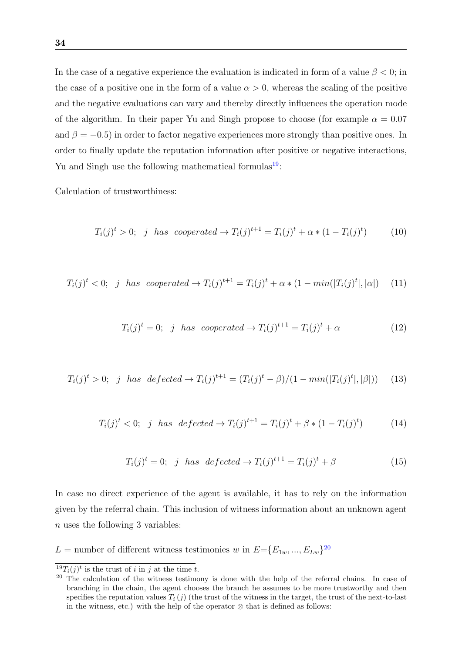In the case of a negative experience the evaluation is indicated in form of a value  $\beta < 0$ ; in the case of a positive one in the form of a value  $\alpha > 0$ , whereas the scaling of the positive and the negative evaluations can vary and thereby directly influences the operation mode of the algorithm. In their paper Yu and Singh propose to choose (for example  $\alpha = 0.07$ ) and  $\beta = -0.5$ ) in order to factor negative experiences more strongly than positive ones. In order to finally update the reputation information after positive or negative interactions, Yu and Singh use the following mathematical formulas $19$ :

Calculation of trustworthiness:

$$
T_i(j)^t > 0;
$$
 j has cooperated  $\rightarrow T_i(j)^{t+1} = T_i(j)^t + \alpha * (1 - T_i(j)^t)$  (10)

$$
T_i(j)^t < 0; \quad j \quad has \quad cooperated \to T_i(j)^{t+1} = T_i(j)^t + \alpha * (1 - \min(|T_i(j)^t|, |\alpha|) \tag{11}
$$

$$
T_i(j)^t = 0; \quad j \quad has \quad cooperated \rightarrow T_i(j)^{t+1} = T_i(j)^t + \alpha \tag{12}
$$

$$
T_i(j)^t > 0; \quad j \quad has \quad defected \to T_i(j)^{t+1} = (T_i(j)^t - \beta)/(1 - \min(|T_i(j)^t|, |\beta|)) \tag{13}
$$

$$
T_i(j)^t < 0; \quad j \quad has \quad defected \to T_i(j)^{t+1} = T_i(j)^t + \beta * (1 - T_i(j)^t) \tag{14}
$$

$$
T_i(j)^t = 0; \quad j \quad has \quad defected \to T_i(j)^{t+1} = T_i(j)^t + \beta \tag{15}
$$

In case no direct experience of the agent is available, it has to rely on the information given by the referral chain. This inclusion of witness information about an unknown agent n uses the following 3 variables:

L = number of different witness testimonies w in  $E = \{E_{1w},..., E_{Lw}\}^{20}$  $E = \{E_{1w},..., E_{Lw}\}^{20}$  $E = \{E_{1w},..., E_{Lw}\}^{20}$ 

<span id="page-34-0"></span><sup>&</sup>lt;sup>19</sup> $T_i(j)^t$  is the trust of i in j at the time t.

<span id="page-34-1"></span><sup>&</sup>lt;sup>20</sup> The calculation of the witness testimony is done with the help of the referral chains. In case of branching in the chain, the agent chooses the branch he assumes to be more trustworthy and then specifies the reputation values  $T_i(j)$  (the trust of the witness in the target, the trust of the next-to-last in the witness, etc.) with the help of the operator  $\otimes$  that is defined as follows: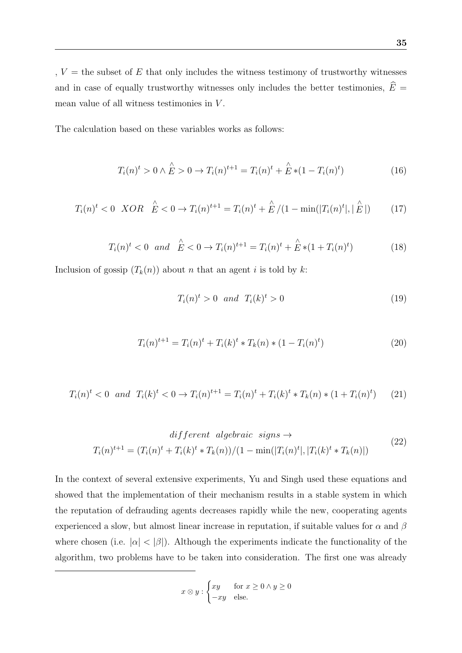,  $V =$  the subset of  $E$  that only includes the witness testimony of trustworthy witnesses and in case of equally trustworthy witnesses only includes the better testimonies,  $\widehat{E}$  = mean value of all witness testimonies in  $V$ .

The calculation based on these variables works as follows:

$$
T_i(n)^t > 0 \wedge \overset{\wedge}{E} > 0 \to T_i(n)^{t+1} = T_i(n)^t + \overset{\wedge}{E} * (1 - T_i(n)^t) \tag{16}
$$

$$
T_i(n)^t < 0 \quad XOR \quad \stackrel{\wedge}{E} < 0 \to T_i(n)^{t+1} = T_i(n)^t + \stackrel{\wedge}{E}/(1 - \min(|T_i(n)^t|, |\stackrel{\wedge}{E}|) \tag{17}
$$

$$
T_i(n)^t < 0 \quad \text{and} \quad \stackrel{\wedge}{E} < 0 \to T_i(n)^{t+1} = T_i(n)^t + \stackrel{\wedge}{E} * (1 + T_i(n)^t) \tag{18}
$$

Inclusion of gossip  $(T_k(n))$  about n that an agent i is told by k:

$$
T_i(n)^t > 0 \quad and \quad T_i(k)^t > 0 \tag{19}
$$

$$
T_i(n)^{t+1} = T_i(n)^t + T_i(k)^t * T_k(n) * (1 - T_i(n)^t)
$$
\n(20)

$$
T_i(n)^t < 0 \quad \text{and} \quad T_i(k)^t < 0 \to T_i(n)^{t+1} = T_i(n)^t + T_i(k)^t \cdot T_k(n) \cdot (1 + T_i(n)^t) \tag{21}
$$

$$
differential operator \operatorname{sign} s \to
$$
  

$$
T_i(n)^{t+1} = (T_i(n)^t + T_i(k)^t * T_k(n))/(1 - \min(|T_i(n)^t|, |T_i(k)^t * T_k(n)|)
$$
 (22)

In the context of several extensive experiments, Yu and Singh used these equations and showed that the implementation of their mechanism results in a stable system in which the reputation of defrauding agents decreases rapidly while the new, cooperating agents experienced a slow, but almost linear increase in reputation, if suitable values for  $\alpha$  and  $\beta$ where chosen (i.e.  $|\alpha| < |\beta|$ ). Although the experiments indicate the functionality of the algorithm, two problems have to be taken into consideration. The first one was already

$$
x \otimes y : \begin{cases} xy & \text{for } x \ge 0 \land y \ge 0 \\ -xy & \text{else.} \end{cases}
$$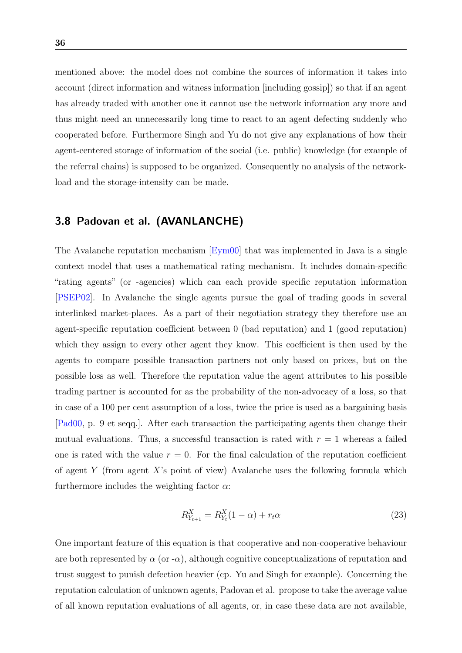mentioned above: the model does not combine the sources of information it takes into account (direct information and witness information [including gossip]) so that if an agent has already traded with another one it cannot use the network information any more and thus might need an unnecessarily long time to react to an agent defecting suddenly who cooperated before. Furthermore Singh and Yu do not give any explanations of how their agent-centered storage of information of the social (i.e. public) knowledge (for example of the referral chains) is supposed to be organized. Consequently no analysis of the networkload and the storage-intensity can be made.

## <span id="page-36-0"></span>3.8 Padovan et al. (AVANLANCHE)

The Avalanche reputation mechanism [\[Eym00\]](#page-48-10) that was implemented in Java is a single context model that uses a mathematical rating mechanism. It includes domain-specific "rating agents" (or -agencies) which can each provide specific reputation information [\[PSEP02\]](#page-50-6). In Avalanche the single agents pursue the goal of trading goods in several interlinked market-places. As a part of their negotiation strategy they therefore use an agent-specific reputation coefficient between 0 (bad reputation) and 1 (good reputation) which they assign to every other agent they know. This coefficient is then used by the agents to compare possible transaction partners not only based on prices, but on the possible loss as well. Therefore the reputation value the agent attributes to his possible trading partner is accounted for as the probability of the non-advocacy of a loss, so that in case of a 100 per cent assumption of a loss, twice the price is used as a bargaining basis [\[Pad00,](#page-50-9) p. 9 et seqq.]. After each transaction the participating agents then change their mutual evaluations. Thus, a successful transaction is rated with  $r = 1$  whereas a failed one is rated with the value  $r = 0$ . For the final calculation of the reputation coefficient of agent Y (from agent X's point of view) Avalanche uses the following formula which furthermore includes the weighting factor  $\alpha$ :

$$
R_{Y_{t+1}}^X = R_{Y_t}^X (1 - \alpha) + r_t \alpha \tag{23}
$$

One important feature of this equation is that cooperative and non-cooperative behaviour are both represented by  $\alpha$  (or  $-\alpha$ ), although cognitive conceptualizations of reputation and trust suggest to punish defection heavier (cp. Yu and Singh for example). Concerning the reputation calculation of unknown agents, Padovan et al. propose to take the average value of all known reputation evaluations of all agents, or, in case these data are not available,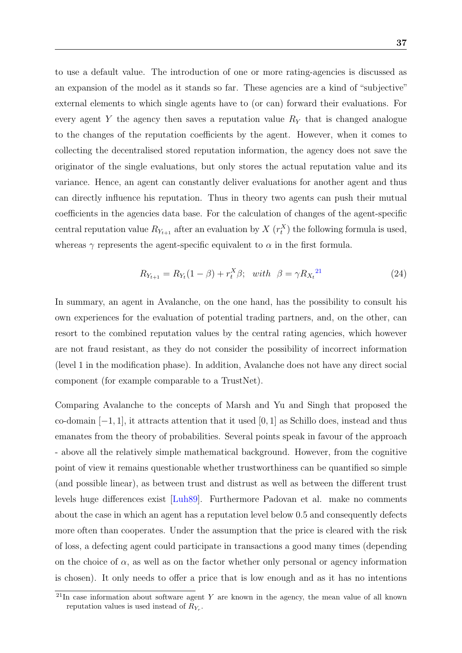to use a default value. The introduction of one or more rating-agencies is discussed as an expansion of the model as it stands so far. These agencies are a kind of "subjective" external elements to which single agents have to (or can) forward their evaluations. For every agent Y the agency then saves a reputation value  $R<sub>Y</sub>$  that is changed analogue to the changes of the reputation coefficients by the agent. However, when it comes to collecting the decentralised stored reputation information, the agency does not save the originator of the single evaluations, but only stores the actual reputation value and its variance. Hence, an agent can constantly deliver evaluations for another agent and thus can directly influence his reputation. Thus in theory two agents can push their mutual coefficients in the agencies data base. For the calculation of changes of the agent-specific central reputation value  $R_{Y_{t+1}}$  after an evaluation by  $X(r_t^X)$  the following formula is used, whereas  $\gamma$  represents the agent-specific equivalent to  $\alpha$  in the first formula.

$$
R_{Y_{t+1}} = R_{Y_t}(1 - \beta) + r_t^X \beta; \quad with \quad \beta = \gamma R_{X_t}^{21} \tag{24}
$$

In summary, an agent in Avalanche, on the one hand, has the possibility to consult his own experiences for the evaluation of potential trading partners, and, on the other, can resort to the combined reputation values by the central rating agencies, which however are not fraud resistant, as they do not consider the possibility of incorrect information (level 1 in the modification phase). In addition, Avalanche does not have any direct social component (for example comparable to a TrustNet).

Comparing Avalanche to the concepts of Marsh and Yu and Singh that proposed the co-domain  $[-1, 1]$ , it attracts attention that it used  $[0, 1]$  as Schillo does, instead and thus emanates from the theory of probabilities. Several points speak in favour of the approach - above all the relatively simple mathematical background. However, from the cognitive point of view it remains questionable whether trustworthiness can be quantified so simple (and possible linear), as between trust and distrust as well as between the different trust levels huge differences exist [\[Luh89\]](#page-49-5). Furthermore Padovan et al. make no comments about the case in which an agent has a reputation level below 0.5 and consequently defects more often than cooperates. Under the assumption that the price is cleared with the risk of loss, a defecting agent could participate in transactions a good many times (depending on the choice of  $\alpha$ , as well as on the factor whether only personal or agency information is chosen). It only needs to offer a price that is low enough and as it has no intentions

<span id="page-37-0"></span> $21$ In case information about software agent Y are known in the agency, the mean value of all known reputation values is used instead of  $R_{Y_r}$ .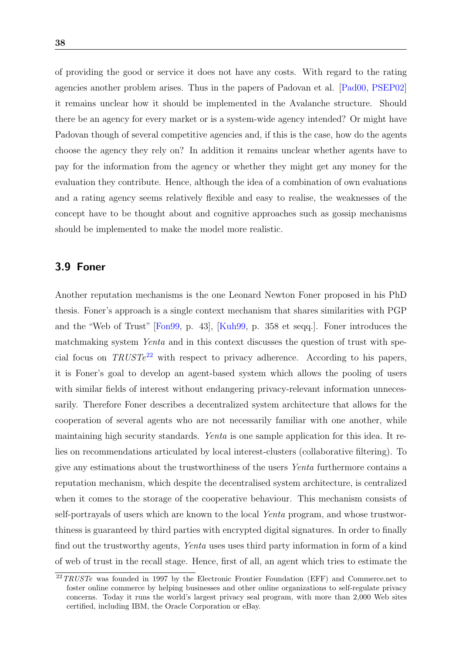of providing the good or service it does not have any costs. With regard to the rating agencies another problem arises. Thus in the papers of Padovan et al. [\[Pad00,](#page-50-9) [PSEP02\]](#page-50-6) it remains unclear how it should be implemented in the Avalanche structure. Should there be an agency for every market or is a system-wide agency intended? Or might have Padovan though of several competitive agencies and, if this is the case, how do the agents choose the agency they rely on? In addition it remains unclear whether agents have to pay for the information from the agency or whether they might get any money for the evaluation they contribute. Hence, although the idea of a combination of own evaluations and a rating agency seems relatively flexible and easy to realise, the weaknesses of the concept have to be thought about and cognitive approaches such as gossip mechanisms should be implemented to make the model more realistic.

### <span id="page-38-0"></span>3.9 Foner

Another reputation mechanisms is the one Leonard Newton Foner proposed in his PhD thesis. Foner's approach is a single context mechanism that shares similarities with PGP and the "Web of Trust" [\[Fon99,](#page-49-6) p. 43], [\[Kuh99,](#page-49-1) p. 358 et seqq.]. Foner introduces the matchmaking system Yenta and in this context discusses the question of trust with special focus on  $TRUSTe^{22}$  $TRUSTe^{22}$  $TRUSTe^{22}$  with respect to privacy adherence. According to his papers, it is Foner's goal to develop an agent-based system which allows the pooling of users with similar fields of interest without endangering privacy-relevant information unnecessarily. Therefore Foner describes a decentralized system architecture that allows for the cooperation of several agents who are not necessarily familiar with one another, while maintaining high security standards. Yenta is one sample application for this idea. It relies on recommendations articulated by local interest-clusters (collaborative filtering). To give any estimations about the trustworthiness of the users Yenta furthermore contains a reputation mechanism, which despite the decentralised system architecture, is centralized when it comes to the storage of the cooperative behaviour. This mechanism consists of self-portrayals of users which are known to the local Yenta program, and whose trustworthiness is guaranteed by third parties with encrypted digital signatures. In order to finally find out the trustworthy agents, Yenta uses uses third party information in form of a kind of web of trust in the recall stage. Hence, first of all, an agent which tries to estimate the

<span id="page-38-1"></span> $22\,TRUSTe$  was founded in 1997 by the Electronic Frontier Foundation (EFF) and Commerce.net to foster online commerce by helping businesses and other online organizations to self-regulate privacy concerns. Today it runs the world's largest privacy seal program, with more than 2,000 Web sites certified, including IBM, the Oracle Corporation or eBay.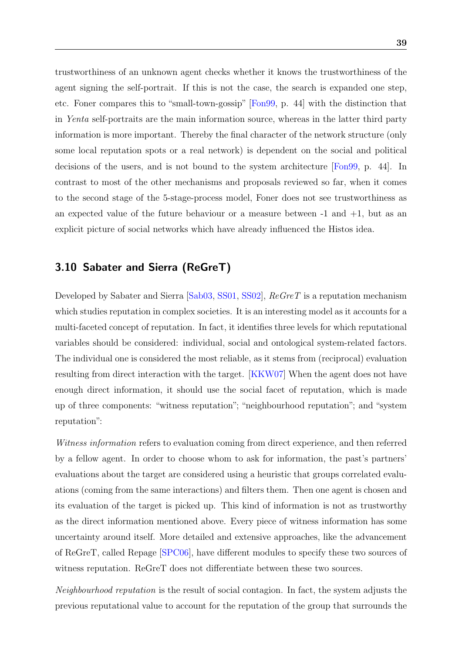trustworthiness of an unknown agent checks whether it knows the trustworthiness of the agent signing the self-portrait. If this is not the case, the search is expanded one step, etc. Foner compares this to "small-town-gossip" [\[Fon99,](#page-49-6) p. 44] with the distinction that in Yenta self-portraits are the main information source, whereas in the latter third party information is more important. Thereby the final character of the network structure (only some local reputation spots or a real network) is dependent on the social and political decisions of the users, and is not bound to the system architecture [\[Fon99,](#page-49-6) p. 44]. In contrast to most of the other mechanisms and proposals reviewed so far, when it comes to the second stage of the 5-stage-process model, Foner does not see trustworthiness as an expected value of the future behaviour or a measure between  $-1$  and  $+1$ , but as an explicit picture of social networks which have already influenced the Histos idea.

## <span id="page-39-0"></span>3.10 Sabater and Sierra (ReGreT)

Developed by Sabater and Sierra [\[Sab03,](#page-51-0) [SS01,](#page-51-10) [SS02\]](#page-51-11), ReGreT is a reputation mechanism which studies reputation in complex societies. It is an interesting model as it accounts for a multi-faceted concept of reputation. In fact, it identifies three levels for which reputational variables should be considered: individual, social and ontological system-related factors. The individual one is considered the most reliable, as it stems from (reciprocal) evaluation resulting from direct interaction with the target. [\[KKW07\]](#page-49-7) When the agent does not have enough direct information, it should use the social facet of reputation, which is made up of three components: "witness reputation"; "neighbourhood reputation"; and "system reputation":

Witness information refers to evaluation coming from direct experience, and then referred by a fellow agent. In order to choose whom to ask for information, the past's partners' evaluations about the target are considered using a heuristic that groups correlated evaluations (coming from the same interactions) and filters them. Then one agent is chosen and its evaluation of the target is picked up. This kind of information is not as trustworthy as the direct information mentioned above. Every piece of witness information has some uncertainty around itself. More detailed and extensive approaches, like the advancement of ReGreT, called Repage [\[SPC06\]](#page-51-1), have different modules to specify these two sources of witness reputation. ReGreT does not differentiate between these two sources.

Neighbourhood reputation is the result of social contagion. In fact, the system adjusts the previous reputational value to account for the reputation of the group that surrounds the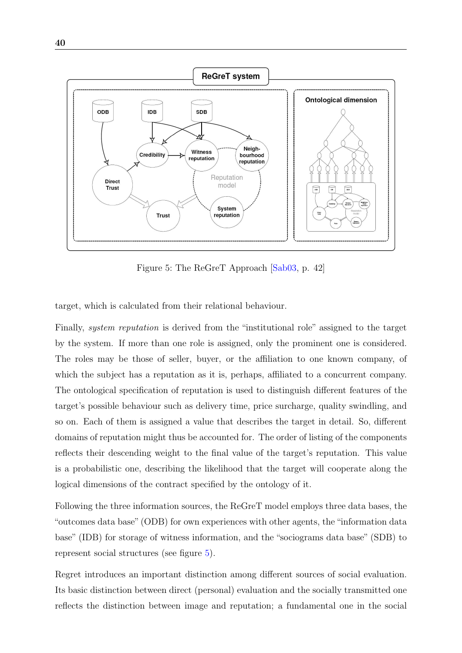

<span id="page-40-0"></span>Figure 5: The ReGreT Approach [\[Sab03,](#page-51-0) p. 42]

target, which is calculated from their relational behaviour.

Finally, system reputation is derived from the "institutional role" assigned to the target by the system. If more than one role is assigned, only the prominent one is considered. The roles may be those of seller, buyer, or the affiliation to one known company, of which the subject has a reputation as it is, perhaps, affiliated to a concurrent company. The ontological specification of reputation is used to distinguish different features of the target's possible behaviour such as delivery time, price surcharge, quality swindling, and so on. Each of them is assigned a value that describes the target in detail. So, different domains of reputation might thus be accounted for. The order of listing of the components reflects their descending weight to the final value of the target's reputation. This value is a probabilistic one, describing the likelihood that the target will cooperate along the logical dimensions of the contract specified by the ontology of it.

Following the three information sources, the ReGreT model employs three data bases, the "outcomes data base" (ODB) for own experiences with other agents, the "information data base" (IDB) for storage of witness information, and the "sociograms data base" (SDB) to represent social structures (see figure [5\)](#page-40-0).

Regret introduces an important distinction among different sources of social evaluation. Its basic distinction between direct (personal) evaluation and the socially transmitted one reflects the distinction between image and reputation; a fundamental one in the social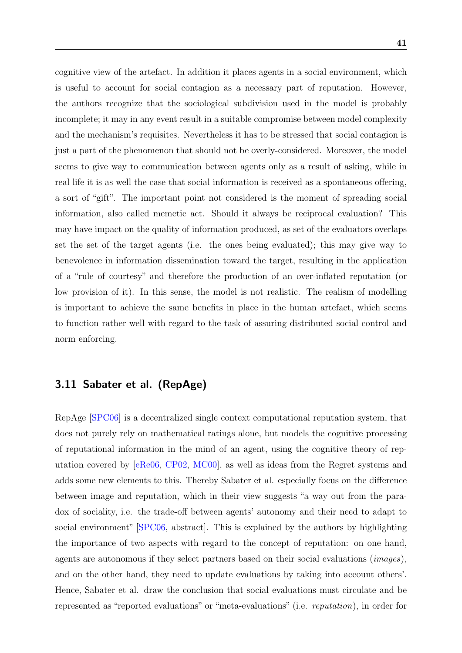cognitive view of the artefact. In addition it places agents in a social environment, which is useful to account for social contagion as a necessary part of reputation. However, the authors recognize that the sociological subdivision used in the model is probably incomplete; it may in any event result in a suitable compromise between model complexity and the mechanism's requisites. Nevertheless it has to be stressed that social contagion is just a part of the phenomenon that should not be overly-considered. Moreover, the model seems to give way to communication between agents only as a result of asking, while in real life it is as well the case that social information is received as a spontaneous offering, a sort of "gift". The important point not considered is the moment of spreading social information, also called memetic act. Should it always be reciprocal evaluation? This may have impact on the quality of information produced, as set of the evaluators overlaps set the set of the target agents (i.e. the ones being evaluated); this may give way to benevolence in information dissemination toward the target, resulting in the application of a "rule of courtesy" and therefore the production of an over-inflated reputation (or low provision of it). In this sense, the model is not realistic. The realism of modelling is important to achieve the same benefits in place in the human artefact, which seems to function rather well with regard to the task of assuring distributed social control and norm enforcing.

## <span id="page-41-0"></span>3.11 Sabater et al. (RepAge)

RepAge [\[SPC06\]](#page-51-1) is a decentralized single context computational reputation system, that does not purely rely on mathematical ratings alone, but models the cognitive processing of reputational information in the mind of an agent, using the cognitive theory of reputation covered by [\[eRe06,](#page-48-4) [CP02,](#page-48-5) [MC00\]](#page-50-4), as well as ideas from the Regret systems and adds some new elements to this. Thereby Sabater et al. especially focus on the difference between image and reputation, which in their view suggests "a way out from the paradox of sociality, i.e. the trade-off between agents' autonomy and their need to adapt to social environment" [\[SPC06,](#page-51-1) abstract]. This is explained by the authors by highlighting the importance of two aspects with regard to the concept of reputation: on one hand, agents are autonomous if they select partners based on their social evaluations (images), and on the other hand, they need to update evaluations by taking into account others'. Hence, Sabater et al. draw the conclusion that social evaluations must circulate and be represented as "reported evaluations" or "meta-evaluations" (i.e. reputation), in order for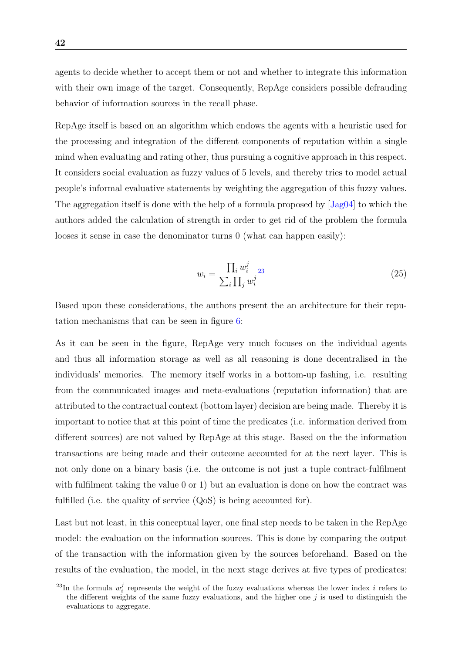agents to decide whether to accept them or not and whether to integrate this information with their own image of the target. Consequently, RepAge considers possible defrauding behavior of information sources in the recall phase.

RepAge itself is based on an algorithm which endows the agents with a heuristic used for the processing and integration of the different components of reputation within a single mind when evaluating and rating other, thus pursuing a cognitive approach in this respect. It considers social evaluation as fuzzy values of 5 levels, and thereby tries to model actual people's informal evaluative statements by weighting the aggregation of this fuzzy values. The aggregation itself is done with the help of a formula proposed by [\[Jag04\]](#page-49-8) to which the authors added the calculation of strength in order to get rid of the problem the formula looses it sense in case the denominator turns 0 (what can happen easily):

$$
w_i = \frac{\prod_i w_i^j}{\sum_i \prod_j w_i^j} \tag{25}
$$

Based upon these considerations, the authors present the an architecture for their reputation mechanisms that can be seen in figure [6:](#page-43-0)

As it can be seen in the figure, RepAge very much focuses on the individual agents and thus all information storage as well as all reasoning is done decentralised in the individuals' memories. The memory itself works in a bottom-up fashing, i.e. resulting from the communicated images and meta-evaluations (reputation information) that are attributed to the contractual context (bottom layer) decision are being made. Thereby it is important to notice that at this point of time the predicates (i.e. information derived from different sources) are not valued by RepAge at this stage. Based on the the information transactions are being made and their outcome accounted for at the next layer. This is not only done on a binary basis (i.e. the outcome is not just a tuple contract-fulfilment with fulfilment taking the value 0 or 1) but an evaluation is done on how the contract was fulfilled (i.e. the quality of service  $(QoS)$  is being accounted for).

Last but not least, in this conceptual layer, one final step needs to be taken in the RepAge model: the evaluation on the information sources. This is done by comparing the output of the transaction with the information given by the sources beforehand. Based on the results of the evaluation, the model, in the next stage derives at five types of predicates:

<span id="page-42-0"></span><sup>&</sup>lt;sup>23</sup>In the formula  $w_i^j$  represents the weight of the fuzzy evaluations whereas the lower index i refers to the different weights of the same fuzzy evaluations, and the higher one  $j$  is used to distinguish the evaluations to aggregate.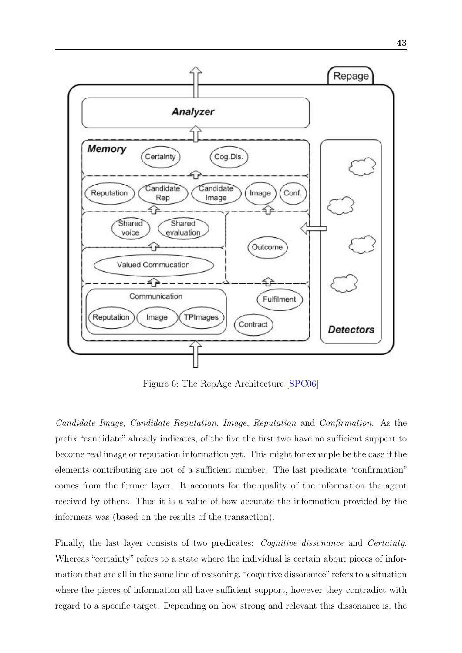

<span id="page-43-0"></span>Figure 6: The RepAge Architecture [\[SPC06\]](#page-51-1)

Candidate Image, Candidate Reputation, Image, Reputation and Confirmation. As the prefix "candidate" already indicates, of the five the first two have no sufficient support to become real image or reputation information yet. This might for example be the case if the elements contributing are not of a sufficient number. The last predicate "confirmation" comes from the former layer. It accounts for the quality of the information the agent received by others. Thus it is a value of how accurate the information provided by the informers was (based on the results of the transaction).

Finally, the last layer consists of two predicates: *Cognitive dissonance* and *Certainty*. Whereas "certainty" refers to a state where the individual is certain about pieces of information that are all in the same line of reasoning,"cognitive dissonance" refers to a situation where the pieces of information all have sufficient support, however they contradict with regard to a specific target. Depending on how strong and relevant this dissonance is, the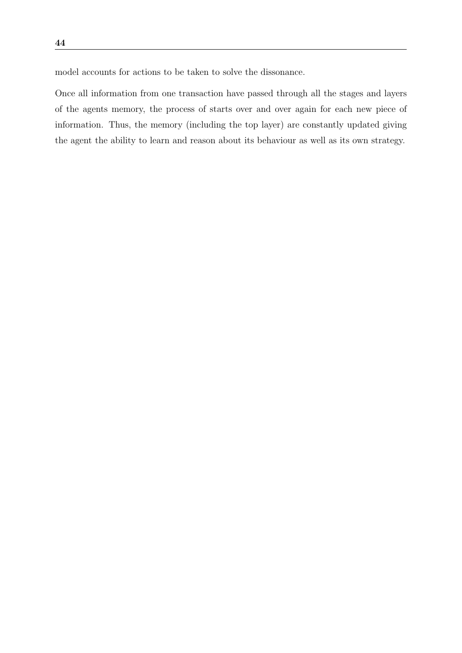model accounts for actions to be taken to solve the dissonance.

Once all information from one transaction have passed through all the stages and layers of the agents memory, the process of starts over and over again for each new piece of information. Thus, the memory (including the top layer) are constantly updated giving the agent the ability to learn and reason about its behaviour as well as its own strategy.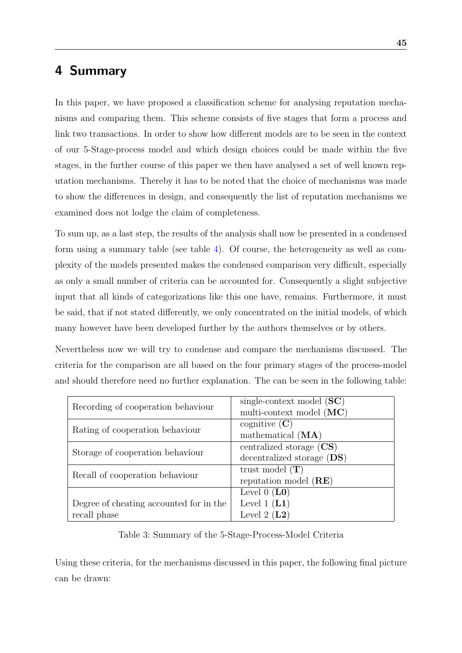# <span id="page-45-0"></span>4 Summary

In this paper, we have proposed a classification scheme for analysing reputation mechanisms and comparing them. This scheme consists of five stages that form a process and link two transactions. In order to show how different models are to be seen in the context of our 5-Stage-process model and which design choices could be made within the five stages, in the further course of this paper we then have analysed a set of well known reputation mechanisms. Thereby it has to be noted that the choice of mechanisms was made to show the differences in design, and consequently the list of reputation mechanisms we examined does not lodge the claim of completeness.

To sum up, as a last step, the results of the analysis shall now be presented in a condensed form using a summary table (see table [4\)](#page-46-0). Of course, the heterogeneity as well as complexity of the models presented makes the condensed comparison very difficult, especially as only a small number of criteria can be accounted for. Consequently a slight subjective input that all kinds of categorizations like this one have, remains. Furthermore, it must be said, that if not stated differently, we only concentrated on the initial models, of which many however have been developed further by the authors themselves or by others.

Nevertheless now we will try to condense and compare the mechanisms discussed. The criteria for the comparison are all based on the four primary stages of the process-model and should therefore need no further explanation. The can be seen in the following table:

| Recording of cooperation behaviour      | single-context model $(SC)$<br>multi-context model $(MC)$  |
|-----------------------------------------|------------------------------------------------------------|
| Rating of cooperation behaviour         | cognitive $(C)$<br>mathematical (MA)                       |
| Storage of cooperation behaviour        | centralized storage $(CS)$<br>decentralized storage $(DS)$ |
| Recall of cooperation behaviour         | trust model $(T)$<br>reputation model (RE)                 |
|                                         | Level $0$ (LO)                                             |
| Degree of cheating accounted for in the | Level 1 $(L1)$                                             |
| recall phase                            | Level 2 $(L2)$                                             |

<span id="page-45-1"></span>Table 3: Summary of the 5-Stage-Process-Model Criteria

Using these criteria, for the mechanisms discussed in this paper, the following final picture can be drawn: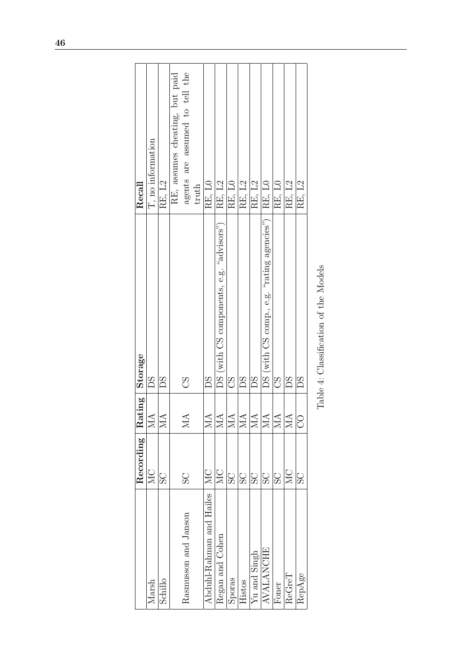<span id="page-46-0"></span>

|                          | $\overline{\text{Recording}}$ | Rating                  | Storage                                    | Recall                          |
|--------------------------|-------------------------------|-------------------------|--------------------------------------------|---------------------------------|
| Marsh                    | MC                            | $\overline{\text{MA}}$  | SC                                         | $\mathbf T,$ no information     |
| Schillo                  | $\overline{\mathrm{SO}}$      | $\overline{\text{MA}}$  | BS                                         | RE, L2                          |
|                          |                               |                         |                                            | R.E, assumes cheating, but paid |
| Rasmusson and Janson     | SC                            | MA                      | 8D                                         | agents are assumed to tell the  |
|                          |                               |                         |                                            | truth                           |
| Abduhl-Rahman and Hailes | $M_{\rm C}$                   | MA                      | Bg                                         | RE, LO                          |
| Regan and Cohen          | MC                            | MA                      | DS (with CS components, e.g. "advisors")   | RE, L2                          |
| Sporas                   | SC                            | $\overline{\text{MA}}$  | 8Q                                         | RE, LO                          |
| Histos                   | SC                            | <b>NIA</b>              | SQ                                         | RE, L2                          |
| Yu and Singh             | SC                            | $\overline{\mathbb{A}}$ | Bg                                         | RE, L2                          |
| <b>AVALANCHE</b>         | SC                            | $\overline{\text{MA}}$  | DS (with CS comp., e.g. "rating agencies") | RE, LO                          |
| Foner                    | SC                            | $\overline{\text{MA}}$  | 8Q                                         | RE, LO                          |
| ReGreT                   | <b>NC</b>                     | $\overline{\text{MA}}$  | BS                                         | RE, L2                          |
| RepAge                   | SS                            | 8                       | SC                                         | RE, L2                          |
|                          |                               |                         |                                            |                                 |

| I<br>ı                     |
|----------------------------|
| ،<br>ک<br>)<br>Í<br>ľ<br>۱ |
| Ó<br>١<br>ì<br>l<br>í      |
| l<br>I<br>ì                |
| j<br>i                     |
| ł<br>J<br>ł<br>١           |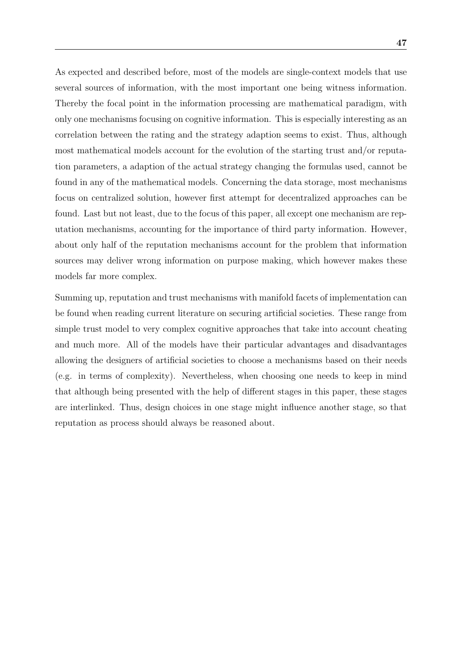As expected and described before, most of the models are single-context models that use several sources of information, with the most important one being witness information. Thereby the focal point in the information processing are mathematical paradigm, with only one mechanisms focusing on cognitive information. This is especially interesting as an correlation between the rating and the strategy adaption seems to exist. Thus, although most mathematical models account for the evolution of the starting trust and/or reputation parameters, a adaption of the actual strategy changing the formulas used, cannot be found in any of the mathematical models. Concerning the data storage, most mechanisms focus on centralized solution, however first attempt for decentralized approaches can be found. Last but not least, due to the focus of this paper, all except one mechanism are reputation mechanisms, accounting for the importance of third party information. However, about only half of the reputation mechanisms account for the problem that information sources may deliver wrong information on purpose making, which however makes these models far more complex.

Summing up, reputation and trust mechanisms with manifold facets of implementation can be found when reading current literature on securing artificial societies. These range from simple trust model to very complex cognitive approaches that take into account cheating and much more. All of the models have their particular advantages and disadvantages allowing the designers of artificial societies to choose a mechanisms based on their needs (e.g. in terms of complexity). Nevertheless, when choosing one needs to keep in mind that although being presented with the help of different stages in this paper, these stages are interlinked. Thus, design choices in one stage might influence another stage, so that reputation as process should always be reasoned about.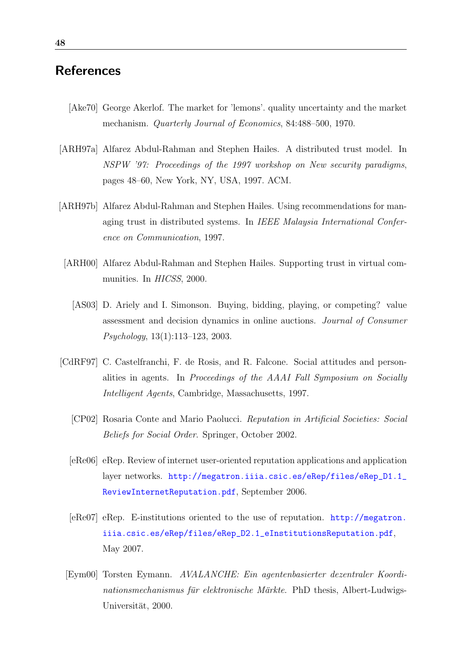# <span id="page-48-0"></span>**References**

- <span id="page-48-3"></span>[Ake70] George Akerlof. The market for 'lemons'. quality uncertainty and the market mechanism. Quarterly Journal of Economics, 84:488–500, 1970.
- <span id="page-48-7"></span>[ARH97a] Alfarez Abdul-Rahman and Stephen Hailes. A distributed trust model. In NSPW '97: Proceedings of the 1997 workshop on New security paradigms, pages 48–60, New York, NY, USA, 1997. ACM.
- <span id="page-48-9"></span><span id="page-48-1"></span>[ARH97b] Alfarez Abdul-Rahman and Stephen Hailes. Using recommendations for managing trust in distributed systems. In IEEE Malaysia International Conference on Communication, 1997.
	- [ARH00] Alfarez Abdul-Rahman and Stephen Hailes. Supporting trust in virtual communities. In HICSS, 2000.
		- [AS03] D. Ariely and I. Simonson. Buying, bidding, playing, or competing? value assessment and decision dynamics in online auctions. Journal of Consumer Psychology, 13(1):113–123, 2003.
- <span id="page-48-10"></span><span id="page-48-8"></span><span id="page-48-6"></span><span id="page-48-5"></span><span id="page-48-4"></span><span id="page-48-2"></span>[CdRF97] C. Castelfranchi, F. de Rosis, and R. Falcone. Social attitudes and personalities in agents. In Proceedings of the AAAI Fall Symposium on Socially Intelligent Agents, Cambridge, Massachusetts, 1997.
	- [CP02] Rosaria Conte and Mario Paolucci. Reputation in Artificial Societies: Social Beliefs for Social Order. Springer, October 2002.
	- [eRe06] eRep. Review of internet user-oriented reputation applications and application layer networks. [http://megatron.iiia.csic.es/eRep/files/eRep\\_D1.1\\_](http://megatron.iiia.csic.es/eRep/files/eRep_D1.1_ReviewInternetReputation.pdf) [ReviewInternetReputation.pdf](http://megatron.iiia.csic.es/eRep/files/eRep_D1.1_ReviewInternetReputation.pdf), September 2006.
	- [eRe07] eRep. E-institutions oriented to the use of reputation. [http://megatron.](http://megatron.iiia.csic.es/eRep/files/eRep_D2.1_eInstitutionsReputation.pdf) [iiia.csic.es/eRep/files/eRep\\_D2.1\\_eInstitutionsReputation.pdf](http://megatron.iiia.csic.es/eRep/files/eRep_D2.1_eInstitutionsReputation.pdf), May 2007.
	- [Eym00] Torsten Eymann. AVALANCHE: Ein agentenbasierter dezentraler Koordi $nations mechanismus für elektronische Märkte. PhD thesis, Albert-Ludwigs-$ Universität, 2000.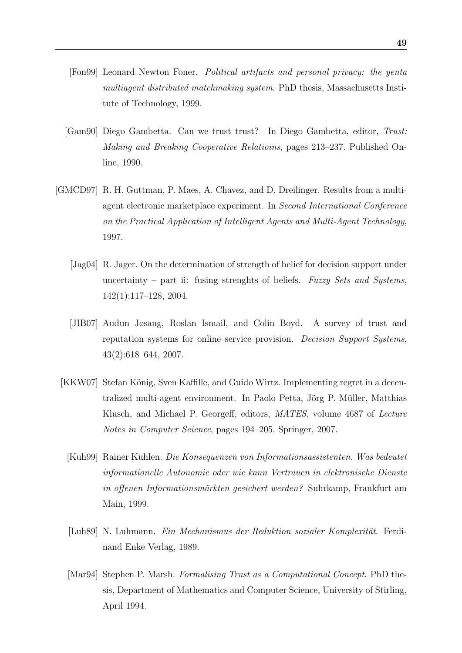- <span id="page-49-6"></span>[Fon99] Leonard Newton Foner. Political artifacts and personal privacy: the yenta multiagent distributed matchmaking system. PhD thesis, Massachusetts Institute of Technology, 1999.
- <span id="page-49-2"></span>[Gam90] Diego Gambetta. Can we trust trust? In Diego Gambetta, editor, Trust: Making and Breaking Cooperative Relatioins, pages 213–237. Published Online, 1990.
- <span id="page-49-8"></span><span id="page-49-7"></span><span id="page-49-5"></span><span id="page-49-4"></span><span id="page-49-3"></span><span id="page-49-1"></span><span id="page-49-0"></span>[GMCD97] R. H. Guttman, P. Maes, A. Chavez, and D. Dreilinger. Results from a multiagent electronic marketplace experiment. In Second International Conference on the Practical Application of Intelligent Agents and Multi-Agent Technology, 1997.
	- [Jag04] R. Jager. On the determination of strength of belief for decision support under uncertainty – part ii: fusing strenghts of beliefs. Fuzzy Sets and Systems, 142(1):117–128, 2004.
	- [JIB07] Audun Jøsang, Roslan Ismail, and Colin Boyd. A survey of trust and reputation systems for online service provision. Decision Support Systems, 43(2):618–644, 2007.
	- [KKW07] Stefan König, Sven Kaffille, and Guido Wirtz. Implementing regret in a decentralized multi-agent environment. In Paolo Petta, Jörg P. Müller, Matthias Klusch, and Michael P. Georgeff, editors, MATES, volume 4687 of Lecture Notes in Computer Science, pages 194–205. Springer, 2007.
		- [Kuh99] Rainer Kuhlen. Die Konsequenzen von Informationsassistenten. Was bedeutet informationelle Autonomie oder wie kann Vertrauen in elektronische Dienste in offenen Informationsmärkten gesichert werden? Suhrkamp, Frankfurt am Main, 1999.
		- [Luh89] N. Luhmann. Ein Mechanismus der Reduktion sozialer Komplexität. Ferdinand Enke Verlag, 1989.
		- [Mar94] Stephen P. Marsh. Formalising Trust as a Computational Concept. PhD thesis, Department of Mathematics and Computer Science, University of Stirling, April 1994.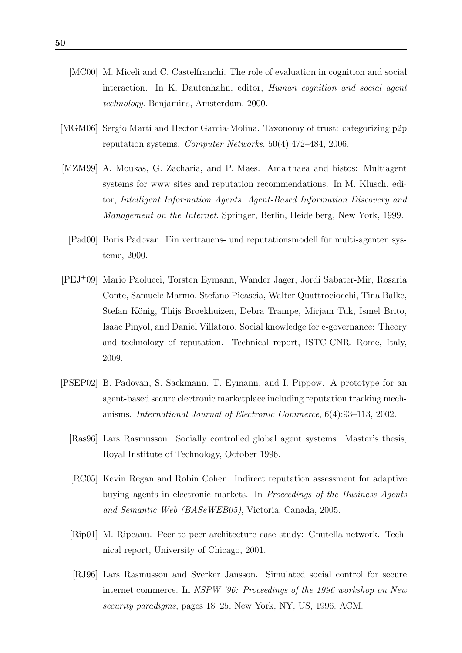- <span id="page-50-4"></span>[MC00] M. Miceli and C. Castelfranchi. The role of evaluation in cognition and social interaction. In K. Dautenhahn, editor, Human cognition and social agent technology. Benjamins, Amsterdam, 2000.
- <span id="page-50-0"></span>[MGM06] Sergio Marti and Hector Garcia-Molina. Taxonomy of trust: categorizing p2p reputation systems. Computer Networks, 50(4):472–484, 2006.
- <span id="page-50-1"></span>[MZM99] A. Moukas, G. Zacharia, and P. Maes. Amalthaea and histos: Multiagent systems for www sites and reputation recommendations. In M. Klusch, editor, Intelligent Information Agents. Agent-Based Information Discovery and Management on the Internet. Springer, Berlin, Heidelberg, New York, 1999.
	- [Pad00] Boris Padovan. Ein vertrauens- und reputationsmodell fur multi-agenten sys- ¨ teme, 2000.
- <span id="page-50-9"></span><span id="page-50-5"></span>[PEJ<sup>+</sup>09] Mario Paolucci, Torsten Eymann, Wander Jager, Jordi Sabater-Mir, Rosaria Conte, Samuele Marmo, Stefano Picascia, Walter Quattrociocchi, Tina Balke, Stefan König, Thijs Broekhuizen, Debra Trampe, Mirjam Tuk, Ismel Brito, Isaac Pinyol, and Daniel Villatoro. Social knowledge for e-governance: Theory and technology of reputation. Technical report, ISTC-CNR, Rome, Italy, 2009.
- <span id="page-50-8"></span><span id="page-50-7"></span><span id="page-50-6"></span><span id="page-50-3"></span><span id="page-50-2"></span>[PSEP02] B. Padovan, S. Sackmann, T. Eymann, and I. Pippow. A prototype for an agent-based secure electronic marketplace including reputation tracking mechanisms. International Journal of Electronic Commerce, 6(4):93–113, 2002.
	- [Ras96] Lars Rasmusson. Socially controlled global agent systems. Master's thesis, Royal Institute of Technology, October 1996.
	- [RC05] Kevin Regan and Robin Cohen. Indirect reputation assessment for adaptive buying agents in electronic markets. In Proceedings of the Business Agents and Semantic Web (BASeWEB05), Victoria, Canada, 2005.
	- [Rip01] M. Ripeanu. Peer-to-peer architecture case study: Gnutella network. Technical report, University of Chicago, 2001.
	- [RJ96] Lars Rasmusson and Sverker Jansson. Simulated social control for secure internet commerce. In NSPW '96: Proceedings of the 1996 workshop on New security paradigms, pages 18–25, New York, NY, US, 1996. ACM.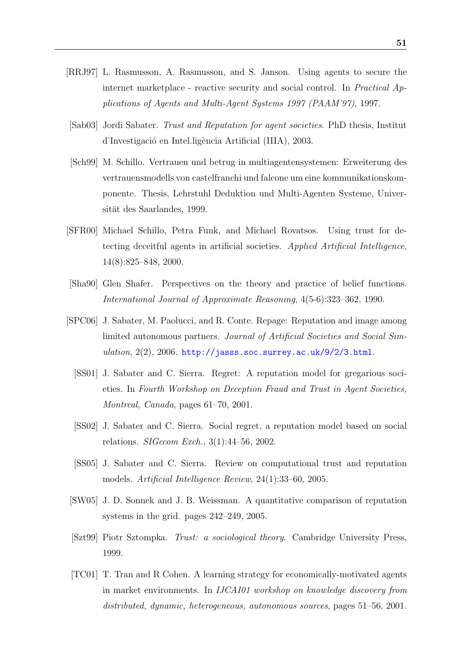- <span id="page-51-7"></span>[RRJ97] L. Rasmusson, A. Rasmusson, and S. Janson. Using agents to secure the internet marketplace - reactive security and social control. In Practical Applications of Agents and Multi-Agent Systems 1997 (PAAM'97), 1997.
- <span id="page-51-0"></span>[Sab03] Jordi Sabater. Trust and Reputation for agent societies. PhD thesis, Institut d'Investigació en Intel.ligència Artificial (IIIA), 2003.
- <span id="page-51-5"></span>[Sch99] M. Schillo. Vertrauen und betrug in multiagentensystemen: Erweiterung des vertrauensmodells von castelfranchi und falcone um eine kommunikationskomponente. Thesis, Lehrstuhl Deduktion und Multi-Agenten Systeme, Universität des Saarlandes, 1999.
- <span id="page-51-4"></span>[SFR00] Michael Schillo, Petra Funk, and Michael Rovatsos. Using trust for detecting deceitful agents in artificial societies. Applied Artificial Intelligence, 14(8):825–848, 2000.
- <span id="page-51-9"></span>[Sha90] Glen Shafer. Perspectives on the theory and practice of belief functions. International Journal of Approximate Reasoning, 4(5-6):323–362, 1990.
- <span id="page-51-10"></span><span id="page-51-1"></span>[SPC06] J. Sabater, M. Paolucci, and R. Conte. Repage: Reputation and image among limited autonomous partners. Journal of Artificial Societies and Social Simulation,  $2(2)$ ,  $2006$ .  $http://jass.soc.surrey.ac.uk/9/2/3.html$ .
	- [SS01] J. Sabater and C. Sierra. Regret: A reputation model for gregarious societies. In Fourth Workshop on Deception Fraud and Trust in Agent Societies, Montreal, Canada, pages 61–70, 2001.
	- [SS02] J. Sabater and C. Sierra. Social regret, a reputation model based on social relations. SIGecom Exch., 3(1):44–56, 2002.
	- [SS05] J. Sabater and C. Sierra. Review on computational trust and reputation models. Artificial Intelligence Review, 24(1):33–60, 2005.
- <span id="page-51-11"></span><span id="page-51-3"></span><span id="page-51-2"></span>[SW05] J. D. Sonnek and J. B. Weissman. A quantitative comparison of reputation systems in the grid. pages 242–249, 2005.
- <span id="page-51-6"></span>[Szt99] Piotr Sztompka. Trust: a sociological theory. Cambridge University Press, 1999.
- <span id="page-51-8"></span>[TC01] T. Tran and R Cohen. A learning strategy for economically-motivated agents in market environments. In IJCAI01 workshop on knowledge discovery from distributed, dynamic, heterogeneous, autonomous sources, pages 51–56, 2001.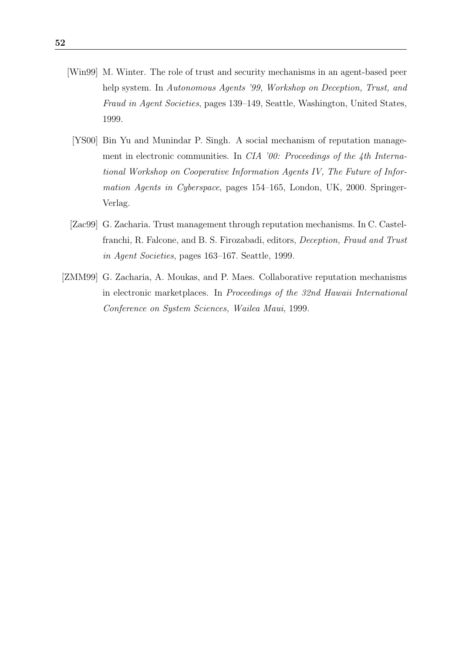- <span id="page-52-3"></span><span id="page-52-0"></span>[Win99] M. Winter. The role of trust and security mechanisms in an agent-based peer help system. In Autonomous Agents '99, Workshop on Deception, Trust, and Fraud in Agent Societies, pages 139–149, Seattle, Washington, United States, 1999.
	- [YS00] Bin Yu and Munindar P. Singh. A social mechanism of reputation management in electronic communities. In CIA '00: Proceedings of the 4th International Workshop on Cooperative Information Agents IV, The Future of Information Agents in Cyberspace, pages 154–165, London, UK, 2000. Springer-Verlag.
- <span id="page-52-1"></span>[Zac99] G. Zacharia. Trust management through reputation mechanisms. In C. Castelfranchi, R. Falcone, and B. S. Firozabadi, editors, Deception, Fraud and Trust in Agent Societies, pages 163–167. Seattle, 1999.
- <span id="page-52-2"></span>[ZMM99] G. Zacharia, A. Moukas, and P. Maes. Collaborative reputation mechanisms in electronic marketplaces. In Proceedings of the 32nd Hawaii International Conference on System Sciences, Wailea Maui, 1999.